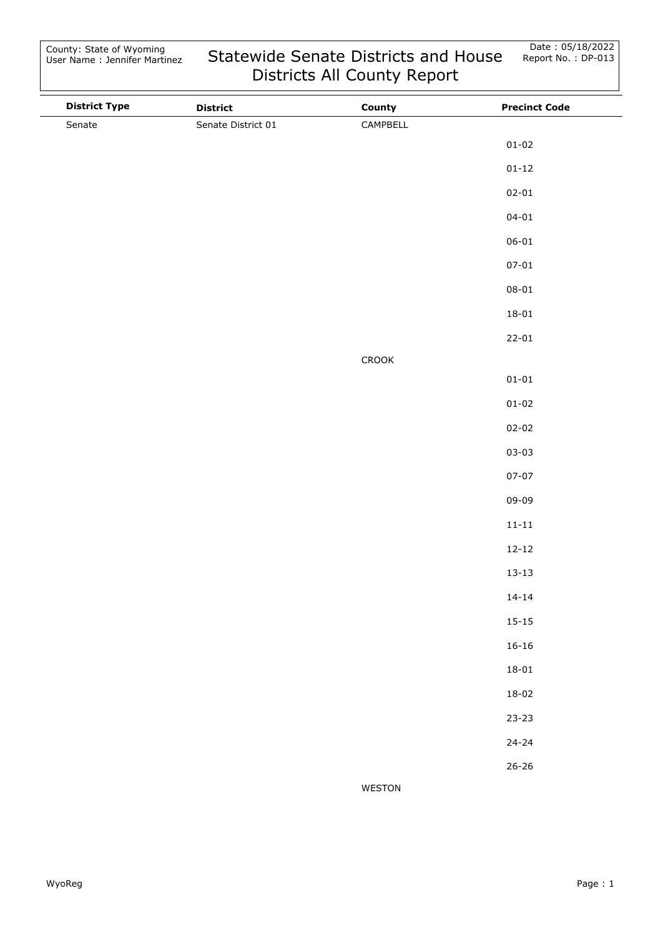| <b>District Type</b> | <b>District</b>    | County        | <b>Precinct Code</b> |
|----------------------|--------------------|---------------|----------------------|
| Senate               | Senate District 01 | CAMPBELL      |                      |
|                      |                    |               | $01 - 02$            |
|                      |                    |               | $01 - 12$            |
|                      |                    |               | $02 - 01$            |
|                      |                    |               | $04 - 01$            |
|                      |                    |               | $06 - 01$            |
|                      |                    |               | $07 - 01$            |
|                      |                    |               | $08 - 01$            |
|                      |                    |               | $18 - 01$            |
|                      |                    |               | $22 - 01$            |
|                      |                    | ${\sf CROOK}$ |                      |
|                      |                    |               | $01 - 01$            |
|                      |                    |               | $01 - 02$            |
|                      |                    |               | $02 - 02$            |
|                      |                    |               | $03 - 03$            |
|                      |                    |               | $07 - 07$            |
|                      |                    |               | 09-09                |
|                      |                    |               | $11 - 11$            |
|                      |                    |               | $12 - 12$            |
|                      |                    |               | $13 - 13$            |
|                      |                    |               | $14 - 14$            |
|                      |                    |               | $15 - 15$            |
|                      |                    |               | $16 - 16$            |
|                      |                    |               | $18 - 01$            |
|                      |                    |               | $18 - 02$            |
|                      |                    |               | $23 - 23$            |
|                      |                    |               | $24 - 24$            |
|                      |                    |               | $26 - 26$            |
|                      |                    | WESTON        |                      |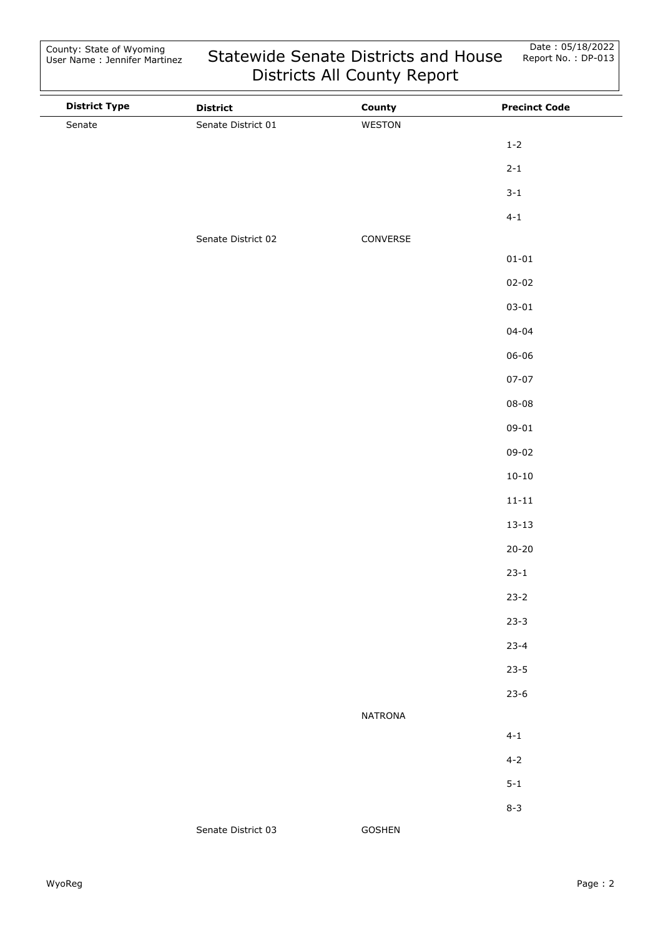| <b>District Type</b> | <b>District</b>    | County         | <b>Precinct Code</b> |
|----------------------|--------------------|----------------|----------------------|
| Senate               | Senate District 01 | WESTON         |                      |
|                      |                    |                | $1 - 2$              |
|                      |                    |                | $2 - 1$              |
|                      |                    |                | $3 - 1$              |
|                      |                    |                | $4 - 1$              |
|                      | Senate District 02 | CONVERSE       |                      |
|                      |                    |                | $01 - 01$            |
|                      |                    |                | $02 - 02$            |
|                      |                    |                | $03 - 01$            |
|                      |                    |                | $04 - 04$            |
|                      |                    |                | $06 - 06$            |
|                      |                    |                | $07 - 07$            |
|                      |                    |                | $08 - 08$            |
|                      |                    |                | $09 - 01$            |
|                      |                    |                | $09 - 02$            |
|                      |                    |                | $10 - 10$            |
|                      |                    |                | $11 - 11$            |
|                      |                    |                | $13 - 13$            |
|                      |                    |                | $20 - 20$            |
|                      |                    |                | $23 - 1$             |
|                      |                    |                | $23 - 2$             |
|                      |                    |                | $23 - 3$             |
|                      |                    |                | $23 - 4$             |
|                      |                    |                | $23 - 5$             |
|                      |                    |                | $23-6$               |
|                      |                    | <b>NATRONA</b> |                      |
|                      |                    |                | $4 - 1$              |
|                      |                    |                | $4 - 2$              |
|                      |                    |                | $5 - 1$              |
|                      |                    |                | $8 - 3$              |
|                      | Senate District 03 | GOSHEN         |                      |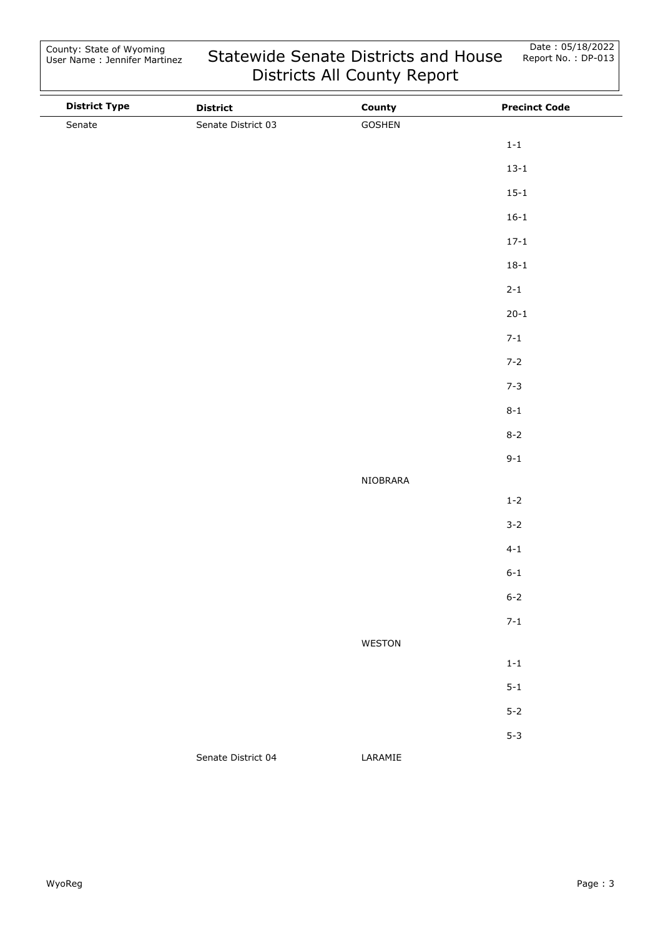| <b>District Type</b> | <b>District</b>    | County   | <b>Precinct Code</b> |
|----------------------|--------------------|----------|----------------------|
| Senate               | Senate District 03 | GOSHEN   |                      |
|                      |                    |          | $1-1$                |
|                      |                    |          | $13 - 1$             |
|                      |                    |          | $15 - 1$             |
|                      |                    |          | $16 - 1$             |
|                      |                    |          | $17 - 1$             |
|                      |                    |          | $18 - 1$             |
|                      |                    |          | $2 - 1$              |
|                      |                    |          | $20 - 1$             |
|                      |                    |          | $7 - 1$              |
|                      |                    |          | $7 - 2$              |
|                      |                    |          | $7 - 3$              |
|                      |                    |          | $8 - 1$              |
|                      |                    |          | $8 - 2$              |
|                      |                    |          | $9 - 1$              |
|                      |                    | NIOBRARA |                      |
|                      |                    |          | $1-2$                |
|                      |                    |          | $3 - 2$              |
|                      |                    |          | $4 - 1$              |
|                      |                    |          | $6 - 1$              |
|                      |                    |          | $6 - 2$              |
|                      |                    |          | $7 - 1$              |
|                      |                    | WESTON   |                      |
|                      |                    |          | $1-1\,$              |
|                      |                    |          | $5 - 1$              |
|                      |                    |          | $5 - 2$              |
|                      |                    |          | $5 - 3$              |
|                      | Senate District 04 | LARAMIE  |                      |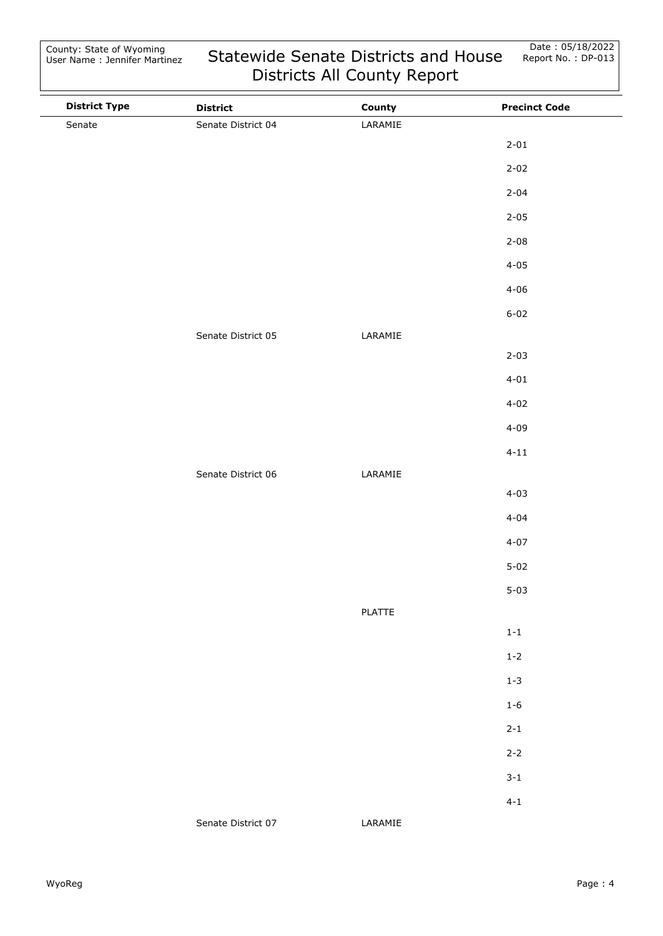| <b>District Type</b> | <b>District</b>    | County        | <b>Precinct Code</b> |
|----------------------|--------------------|---------------|----------------------|
| Senate               | Senate District 04 | LARAMIE       |                      |
|                      |                    |               | $2 - 01$             |
|                      |                    |               | $2 - 02$             |
|                      |                    |               | $2 - 04$             |
|                      |                    |               | $2 - 05$             |
|                      |                    |               | $2 - 08$             |
|                      |                    |               | $4 - 05$             |
|                      |                    |               | $4 - 06$             |
|                      |                    |               | $6 - 02$             |
|                      | Senate District 05 | LARAMIE       |                      |
|                      |                    |               | $2 - 03$             |
|                      |                    |               | $4 - 01$             |
|                      |                    |               | $4 - 02$             |
|                      |                    |               | $4 - 09$             |
|                      |                    |               | $4 - 11$             |
|                      | Senate District 06 | LARAMIE       |                      |
|                      |                    |               | $4 - 03$             |
|                      |                    |               | $4 - 04$             |
|                      |                    |               | $4 - 07$             |
|                      |                    |               | $5 - 02$             |
|                      |                    |               | $5 - 03$             |
|                      |                    | <b>PLATTE</b> |                      |
|                      |                    |               | $1 - 1$              |
|                      |                    |               | $1 - 2$              |
|                      |                    |               | $1 - 3$              |
|                      |                    |               | $1 - 6$              |
|                      |                    |               | $2 - 1$              |
|                      |                    |               | $2 - 2$              |
|                      |                    |               | $3 - 1$              |
|                      |                    |               | $4 - 1$              |
|                      | Senate District 07 | LARAMIE       |                      |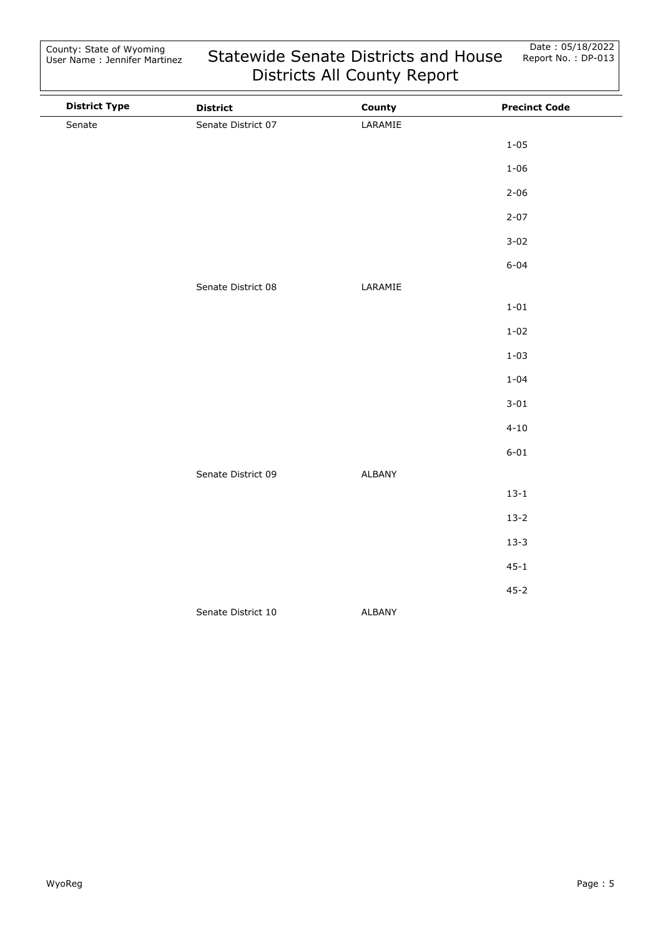| <b>District Type</b> | <b>District</b>    | County  | <b>Precinct Code</b> |
|----------------------|--------------------|---------|----------------------|
| Senate               | Senate District 07 | LARAMIE |                      |
|                      |                    |         | $1 - 05$             |
|                      |                    |         | $1 - 06$             |
|                      |                    |         | $2 - 06$             |
|                      |                    |         | $2 - 07$             |
|                      |                    |         | $3 - 02$             |
|                      |                    |         | $6 - 04$             |
|                      | Senate District 08 | LARAMIE |                      |
|                      |                    |         | $1 - 01$             |
|                      |                    |         | $1 - 02$             |
|                      |                    |         | $1 - 03$             |
|                      |                    |         | $1 - 04$             |
|                      |                    |         | $3 - 01$             |
|                      |                    |         | $4 - 10$             |
|                      |                    |         | $6 - 01$             |
|                      | Senate District 09 | ALBANY  |                      |
|                      |                    |         | $13 - 1$             |
|                      |                    |         | $13 - 2$             |
|                      |                    |         | $13 - 3$             |
|                      |                    |         | $45 - 1$             |
|                      |                    |         | $45 - 2$             |
|                      | Senate District 10 | ALBANY  |                      |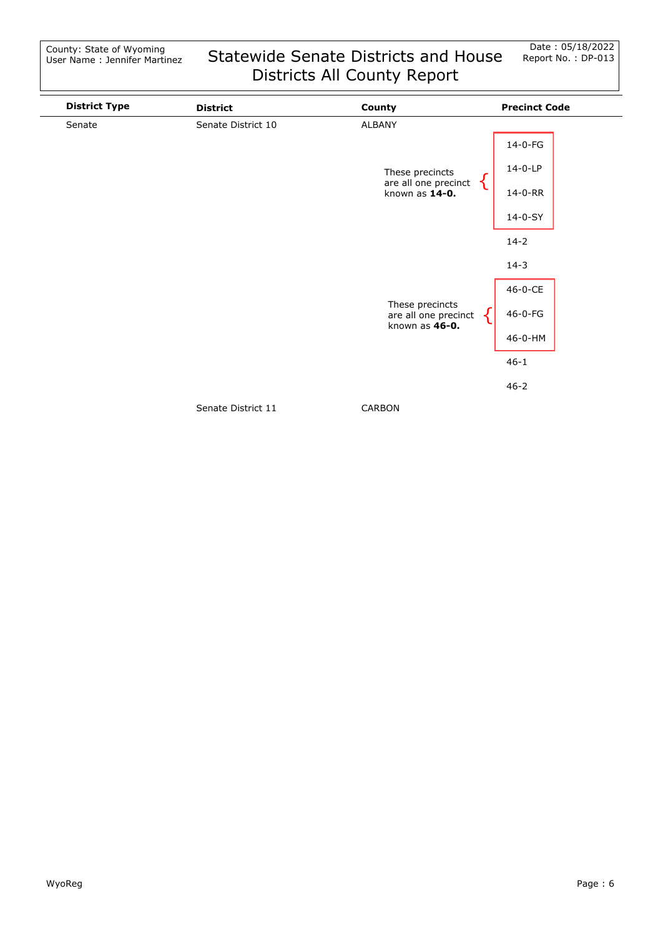| <b>District Type</b> | <b>District</b>    | County                                  | <b>Precinct Code</b> |
|----------------------|--------------------|-----------------------------------------|----------------------|
| Senate               | Senate District 10 | ALBANY                                  |                      |
|                      |                    |                                         | 14-0-FG              |
|                      |                    | These precincts                         | 14-0-LP              |
|                      |                    | are all one precinct<br>known as 14-0.  | 14-0-RR              |
|                      |                    |                                         | 14-0-SY              |
|                      |                    |                                         | $14 - 2$             |
|                      |                    |                                         | $14 - 3$             |
|                      |                    |                                         | 46-0-CE              |
|                      |                    | These precincts<br>are all one precinct | 46-0-FG              |
|                      | known as $46-0$ .  |                                         | 46-0-HM              |
|                      |                    |                                         | $46 - 1$             |
|                      |                    |                                         | $46 - 2$             |
|                      | .                  | $\cdots$                                |                      |

Senate District 11

CARBON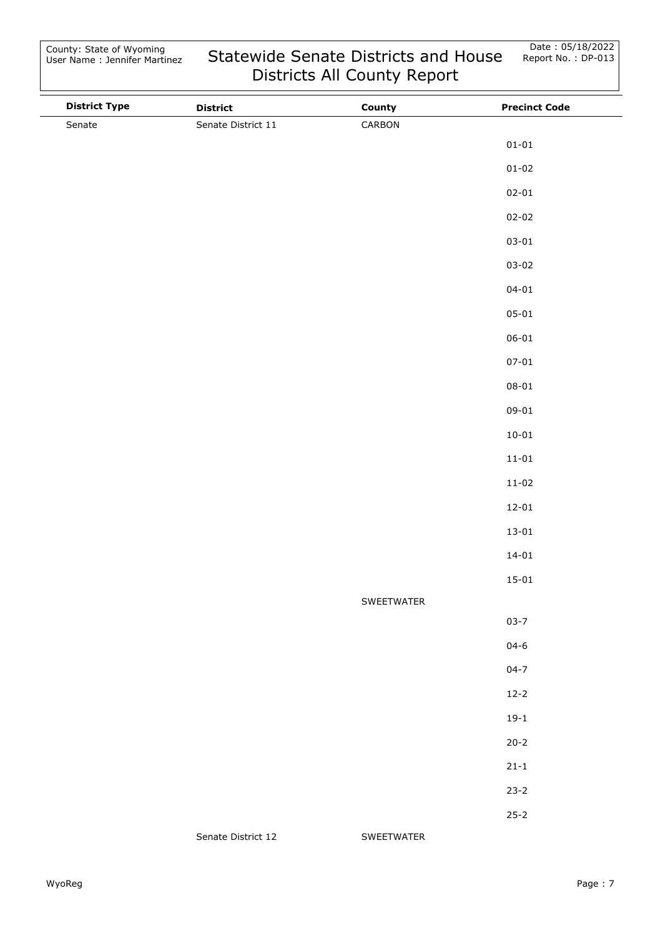| <b>District Type</b> | <b>District</b>    | County     | <b>Precinct Code</b> |
|----------------------|--------------------|------------|----------------------|
| Senate               | Senate District 11 | CARBON     |                      |
|                      |                    |            | $01 - 01$            |
|                      |                    |            | $01 - 02$            |
|                      |                    |            | $02 - 01$            |
|                      |                    |            | $02 - 02$            |
|                      |                    |            | $03 - 01$            |
|                      |                    |            | $03 - 02$            |
|                      |                    |            | $04 - 01$            |
|                      |                    |            | $05 - 01$            |
|                      |                    |            | $06 - 01$            |
|                      |                    |            | $07 - 01$            |
|                      |                    |            | $08 - 01$            |
|                      |                    |            | $09 - 01$            |
|                      |                    |            | $10 - 01$            |
|                      |                    |            | $11 - 01$            |
|                      |                    |            | $11 - 02$            |
|                      |                    |            | $12 - 01$            |
|                      |                    |            | $13 - 01$            |
|                      |                    |            | $14 - 01$            |
|                      |                    |            | $15 - 01$            |
|                      |                    | SWEETWATER |                      |
|                      |                    |            | $03 - 7$             |
|                      |                    |            | $04 - 6$             |
|                      |                    |            | $04 - 7$             |
|                      |                    |            | $12 - 2$             |
|                      |                    |            | $19-1$               |
|                      |                    |            | $20 - 2$             |
|                      |                    |            | $21 - 1$             |
|                      |                    |            | $23 - 2$             |
|                      |                    |            | $25 - 2$             |
|                      | Senate District 12 | SWEETWATER |                      |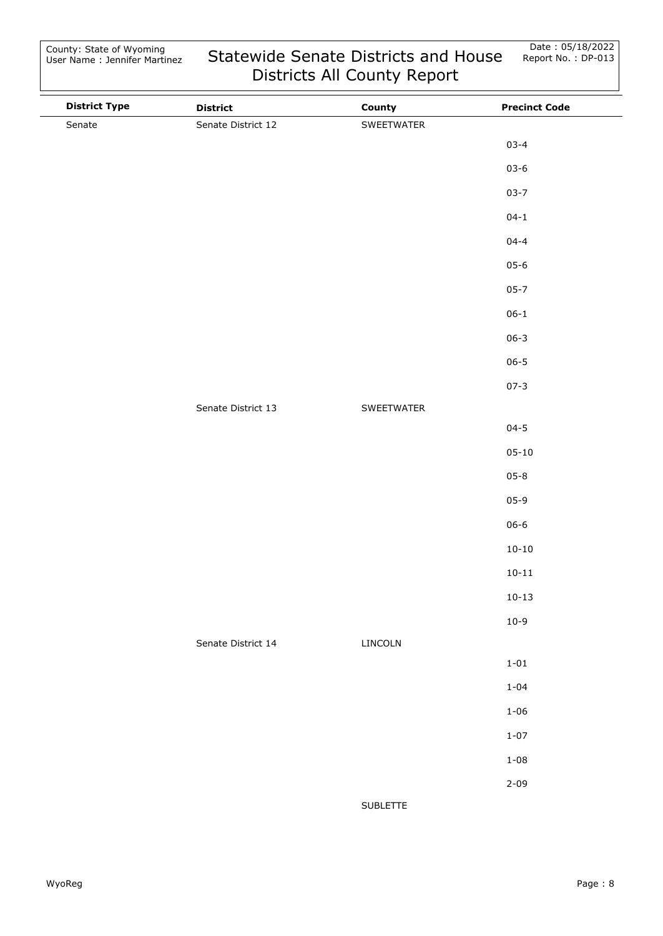| <b>District Type</b> | <b>District</b>    | County     | <b>Precinct Code</b> |
|----------------------|--------------------|------------|----------------------|
| Senate               | Senate District 12 | SWEETWATER |                      |
|                      |                    |            | $03 - 4$             |
|                      |                    |            | $03 - 6$             |
|                      |                    |            | $03 - 7$             |
|                      |                    |            | $04 - 1$             |
|                      |                    |            | $04 - 4$             |
|                      |                    |            | $05 - 6$             |
|                      |                    |            | $05 - 7$             |
|                      |                    |            | $06 - 1$             |
|                      |                    |            | $06 - 3$             |
|                      |                    |            | $06 - 5$             |
|                      |                    |            | $07 - 3$             |
|                      | Senate District 13 | SWEETWATER |                      |
|                      |                    |            | $04 - 5$             |
|                      |                    |            | $05 - 10$            |
|                      |                    |            | $05 - 8$             |
|                      |                    |            | $05-9$               |
|                      |                    |            | $06 - 6$             |
|                      |                    |            | $10 - 10$            |
|                      |                    |            | $10 - 11$            |
|                      |                    |            | $10 - 13$            |
|                      |                    |            | $10 - 9$             |
|                      | Senate District 14 | LINCOLN    |                      |
|                      |                    |            | $1 - 01$             |
|                      |                    |            | $1 - 04$             |
|                      |                    |            | $1 - 06$             |
|                      |                    |            | $1 - 07$             |
|                      |                    |            | $1 - 08$             |
|                      |                    |            | $2 - 09$             |
|                      |                    | SUBLETTE   |                      |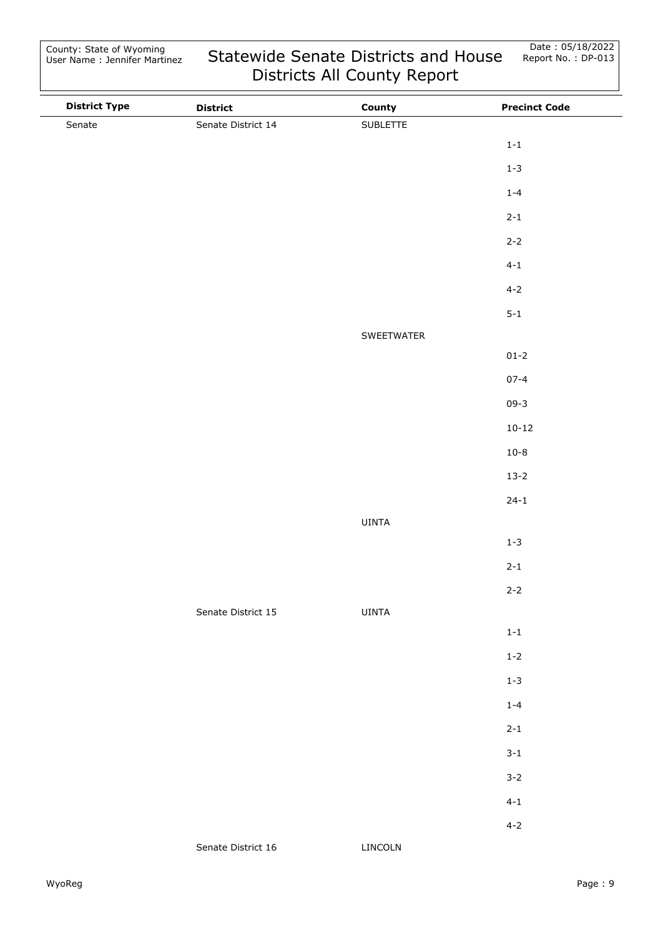| <b>District Type</b> | <b>District</b>    | County     | <b>Precinct Code</b> |
|----------------------|--------------------|------------|----------------------|
| Senate               | Senate District 14 | SUBLETTE   |                      |
|                      |                    |            | $1 - 1$              |
|                      |                    |            | $1 - 3$              |
|                      |                    |            | $1 - 4$              |
|                      |                    |            | $2 - 1$              |
|                      |                    |            | $2 - 2$              |
|                      |                    |            | $4 - 1$              |
|                      |                    |            | $4 - 2$              |
|                      |                    |            | $5 - 1$              |
|                      |                    | SWEETWATER |                      |
|                      |                    |            | $01 - 2$             |
|                      |                    |            | $07 - 4$             |
|                      |                    |            | $09 - 3$             |
|                      |                    |            | $10 - 12$            |
|                      |                    |            | $10 - 8$             |
|                      |                    |            | $13 - 2$             |
|                      |                    |            | $24 - 1$             |
|                      |                    | UINTA      |                      |
|                      |                    |            | $1 - 3$              |
|                      |                    |            | $2 - 1$              |
|                      |                    |            | $2 - 2$              |
|                      | Senate District 15 | UINTA      |                      |
|                      |                    |            | $1 - 1$              |
|                      |                    |            | $1 - 2$              |
|                      |                    |            | $1 - 3$              |
|                      |                    |            | $1 - 4$              |
|                      |                    |            | $2 - 1$              |
|                      |                    |            | $3 - 1$              |
|                      |                    |            | $3 - 2$              |
|                      |                    |            | $4 - 1$              |
|                      |                    |            | $4 - 2$              |
|                      | Senate District 16 | LINCOLN    |                      |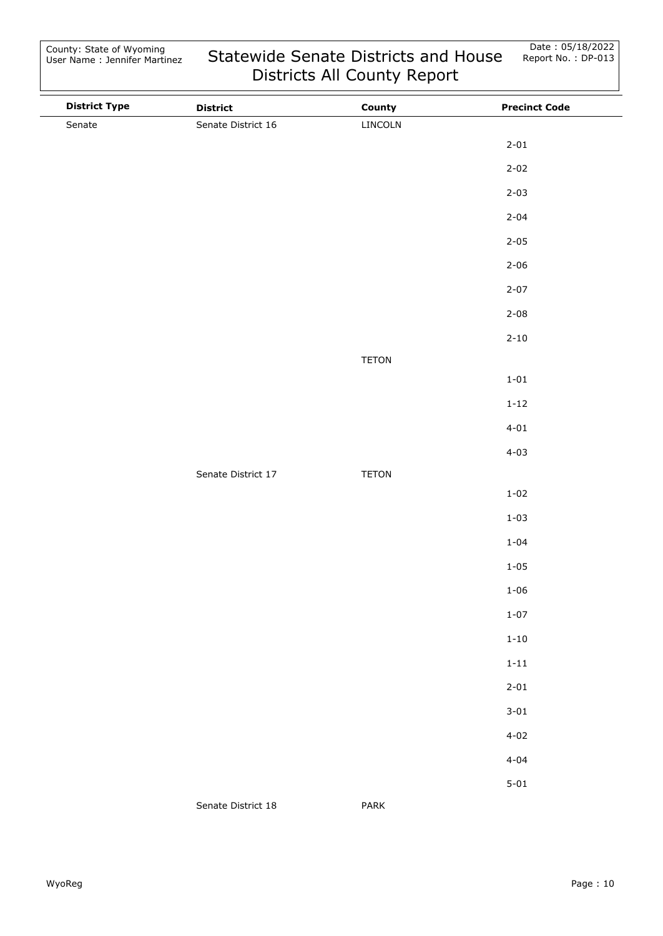| <b>District Type</b> | <b>District</b>    | County       | <b>Precinct Code</b> |
|----------------------|--------------------|--------------|----------------------|
| Senate               | Senate District 16 | LINCOLN      |                      |
|                      |                    |              | $2 - 01$             |
|                      |                    |              | $2 - 02$             |
|                      |                    |              | $2 - 03$             |
|                      |                    |              | $2 - 04$             |
|                      |                    |              | $2 - 05$             |
|                      |                    |              | $2 - 06$             |
|                      |                    |              | $2 - 07$             |
|                      |                    |              | $2 - 08$             |
|                      |                    |              | $2 - 10$             |
|                      |                    | <b>TETON</b> |                      |
|                      |                    |              | $1 - 01$             |
|                      |                    |              | $1 - 12$             |
|                      |                    |              | $4 - 01$             |
|                      |                    |              | $4 - 03$             |
|                      | Senate District 17 | <b>TETON</b> |                      |
|                      |                    |              | $1 - 02$             |
|                      |                    |              | $1 - 03$             |
|                      |                    |              | $1 - 04$             |
|                      |                    |              | $1 - 05$             |
|                      |                    |              | $1 - 06$             |
|                      |                    |              | $1 - 07$             |
|                      |                    |              | $1 - 10$             |
|                      |                    |              | $1 - 11$             |
|                      |                    |              | $2 - 01$             |
|                      |                    |              | $3 - 01$             |
|                      |                    |              | $4 - 02$             |
|                      |                    |              | $4 - 04$             |
|                      |                    |              | $5 - 01$             |
|                      | Senate District 18 | PARK         |                      |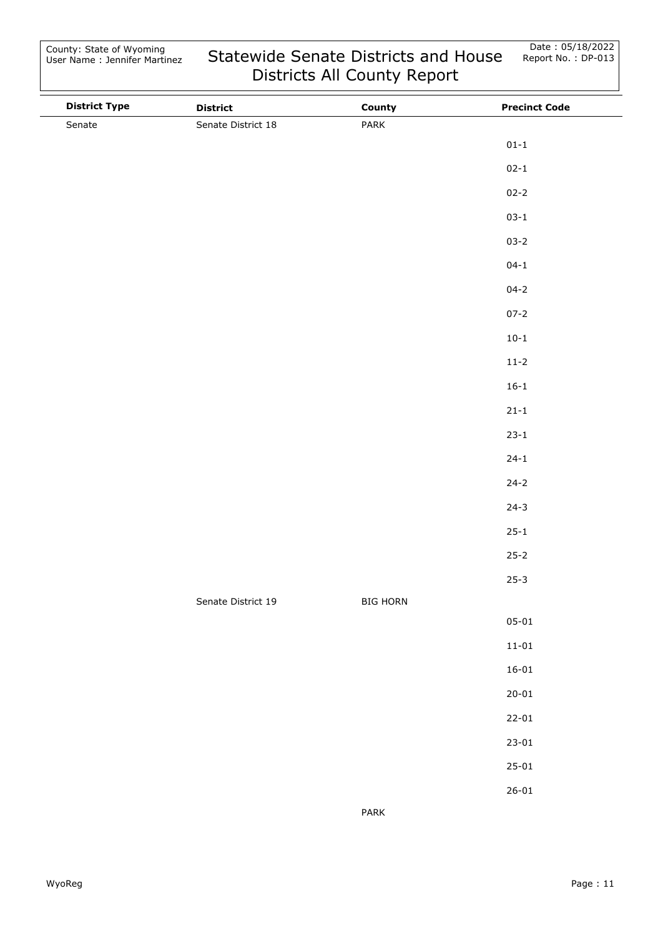| <b>District Type</b> | <b>District</b>    | County          | <b>Precinct Code</b> |
|----------------------|--------------------|-----------------|----------------------|
| Senate               | Senate District 18 | PARK            |                      |
|                      |                    |                 | $01 - 1$             |
|                      |                    |                 | $02 - 1$             |
|                      |                    |                 | $02 - 2$             |
|                      |                    |                 | $03 - 1$             |
|                      |                    |                 | $03 - 2$             |
|                      |                    |                 | $04 - 1$             |
|                      |                    |                 | $04 - 2$             |
|                      |                    |                 | $07 - 2$             |
|                      |                    |                 | $10 - 1$             |
|                      |                    |                 | $11 - 2$             |
|                      |                    |                 | $16 - 1$             |
|                      |                    |                 | $21 - 1$             |
|                      |                    |                 | $23 - 1$             |
|                      |                    |                 | $24 - 1$             |
|                      |                    |                 | $24 - 2$             |
|                      |                    |                 | $24-3$               |
|                      |                    |                 | $25 - 1$             |
|                      |                    |                 | $25 - 2$             |
|                      |                    |                 | $25 - 3$             |
|                      | Senate District 19 | <b>BIG HORN</b> |                      |
|                      |                    |                 | $05 - 01$            |
|                      |                    |                 | $11 - 01$            |
|                      |                    |                 | $16 - 01$            |
|                      |                    |                 | $20 - 01$            |
|                      |                    |                 | $22 - 01$            |
|                      |                    |                 | $23 - 01$            |
|                      |                    |                 | $25 - 01$            |
|                      |                    |                 | $26 - 01$            |
|                      |                    | PARK            |                      |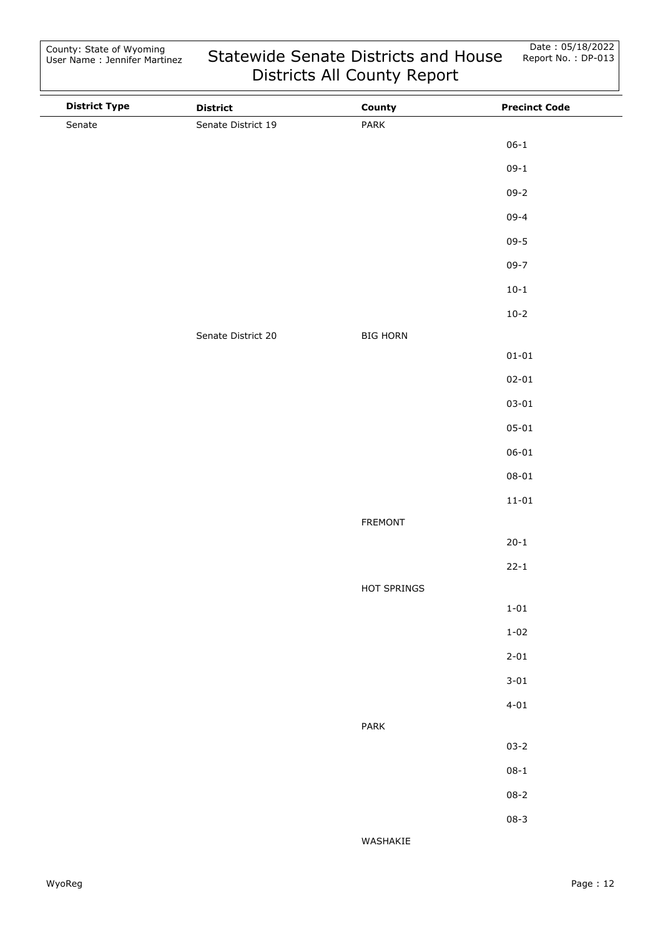| <b>District Type</b> | <b>District</b>    | County          | <b>Precinct Code</b> |
|----------------------|--------------------|-----------------|----------------------|
| Senate               | Senate District 19 | PARK            |                      |
|                      |                    |                 | $06 - 1$             |
|                      |                    |                 | $09-1$               |
|                      |                    |                 | $09 - 2$             |
|                      |                    |                 | $09 - 4$             |
|                      |                    |                 | $09 - 5$             |
|                      |                    |                 | $09 - 7$             |
|                      |                    |                 | $10 - 1$             |
|                      |                    |                 | $10-2$               |
|                      | Senate District 20 | <b>BIG HORN</b> |                      |
|                      |                    |                 | $01 - 01$            |
|                      |                    |                 | $02 - 01$            |
|                      |                    |                 | $03 - 01$            |
|                      |                    |                 | $05 - 01$            |
|                      |                    |                 | $06 - 01$            |
|                      |                    |                 | $08 - 01$            |
|                      |                    |                 | $11 - 01$            |
|                      |                    | FREMONT         |                      |
|                      |                    |                 | $20 - 1$             |
|                      |                    |                 | $22 - 1$             |
|                      |                    | HOT SPRINGS     |                      |
|                      |                    |                 | $1 - 01$             |
|                      |                    |                 | $1 - 02$             |
|                      |                    |                 | $2 - 01$             |
|                      |                    |                 | $3 - 01$             |
|                      |                    |                 | $4 - 01$             |
|                      |                    | PARK            |                      |
|                      |                    |                 | $03 - 2$             |
|                      |                    |                 | $08 - 1$             |
|                      |                    |                 | $08 - 2$             |
|                      |                    |                 | $08 - 3$             |
|                      |                    | WASHAKIE        |                      |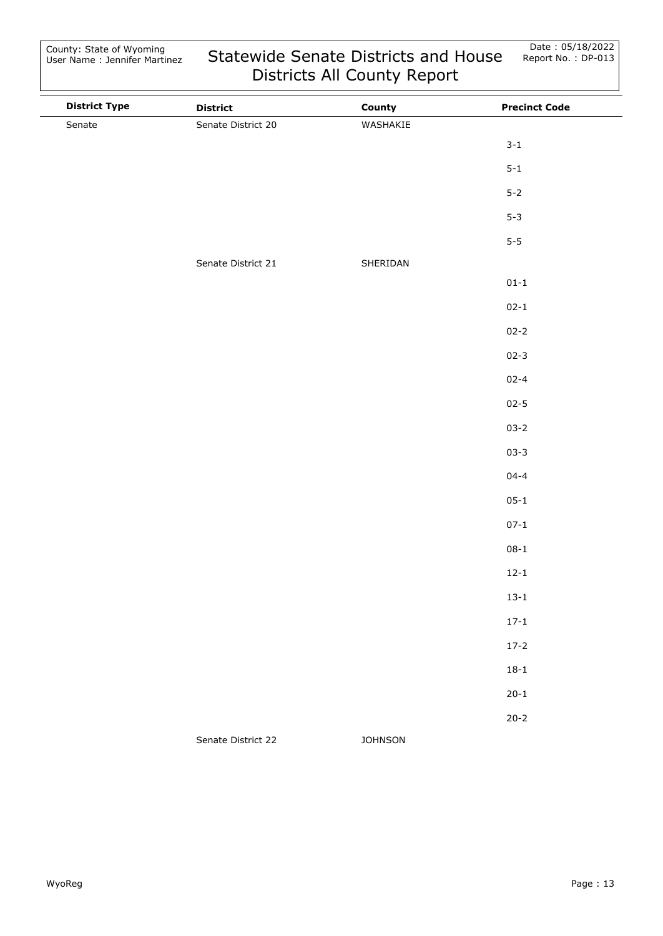| <b>District Type</b> | <b>District</b>    | County         | <b>Precinct Code</b> |
|----------------------|--------------------|----------------|----------------------|
| Senate               | Senate District 20 | WASHAKIE       |                      |
|                      |                    |                | $3 - 1$              |
|                      |                    |                | $5 - 1$              |
|                      |                    |                | $5 - 2$              |
|                      |                    |                | $5 - 3$              |
|                      |                    |                | $5-5$                |
|                      | Senate District 21 | SHERIDAN       |                      |
|                      |                    |                | $01 - 1$             |
|                      |                    |                | $02 - 1$             |
|                      |                    |                | $02 - 2$             |
|                      |                    |                | $02 - 3$             |
|                      |                    |                | $02 - 4$             |
|                      |                    |                | $02 - 5$             |
|                      |                    |                | $03 - 2$             |
|                      |                    |                | $03 - 3$             |
|                      |                    |                | $04 - 4$             |
|                      |                    |                | $05 - 1$             |
|                      |                    |                | $07 - 1$             |
|                      |                    |                | $08 - 1$             |
|                      |                    |                | $12 - 1$             |
|                      |                    |                | $13 - 1$             |
|                      |                    |                | $17 - 1$             |
|                      |                    |                | $17-2$               |
|                      |                    |                | $18 - 1$             |
|                      |                    |                | $20 - 1$             |
|                      |                    |                | $20 - 2$             |
|                      | Senate District 22 | <b>JOHNSON</b> |                      |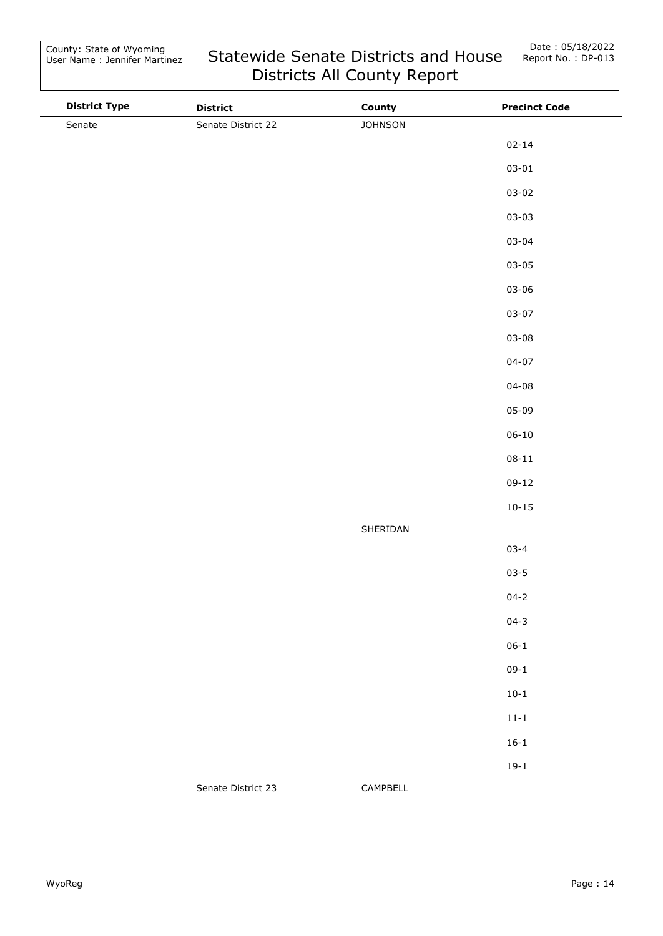| <b>District Type</b> | <b>District</b>    | County         | <b>Precinct Code</b> |
|----------------------|--------------------|----------------|----------------------|
| Senate               | Senate District 22 | <b>JOHNSON</b> |                      |
|                      |                    |                | $02 - 14$            |
|                      |                    |                | $03 - 01$            |
|                      |                    |                | $03 - 02$            |
|                      |                    |                | $03 - 03$            |
|                      |                    |                | $03 - 04$            |
|                      |                    |                | $03 - 05$            |
|                      |                    |                | $03 - 06$            |
|                      |                    |                | $03 - 07$            |
|                      |                    |                | $03 - 08$            |
|                      |                    |                | $04 - 07$            |
|                      |                    |                | $04 - 08$            |
|                      |                    |                | $05 - 09$            |
|                      |                    |                | $06 - 10$            |
|                      |                    |                | $08 - 11$            |
|                      |                    |                | $09-12$              |
|                      |                    |                | $10 - 15$            |
|                      |                    | SHERIDAN       |                      |
|                      |                    |                | $03 - 4$             |
|                      |                    |                | $03 - 5$             |
|                      |                    |                | $04 - 2$             |
|                      |                    |                | $04 - 3$             |
|                      |                    |                | $06 - 1$             |
|                      |                    |                | $09-1$               |
|                      |                    |                | $10-1$               |
|                      |                    |                | $11 - 1$             |
|                      |                    |                | $16 - 1$             |
|                      |                    |                | $19-1$               |
|                      | Senate District 23 | CAMPBELL       |                      |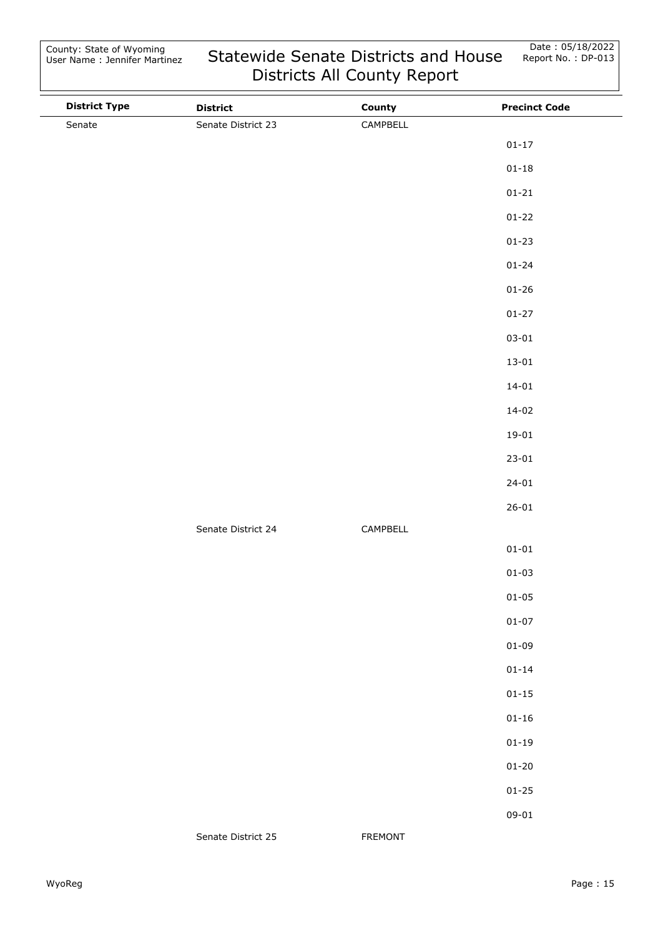| <b>District Type</b> | <b>District</b>    | County   | <b>Precinct Code</b> |
|----------------------|--------------------|----------|----------------------|
| Senate               | Senate District 23 | CAMPBELL |                      |
|                      |                    |          | $01 - 17$            |
|                      |                    |          | $01 - 18$            |
|                      |                    |          | $01 - 21$            |
|                      |                    |          | $01 - 22$            |
|                      |                    |          | $01 - 23$            |
|                      |                    |          | $01 - 24$            |
|                      |                    |          | $01 - 26$            |
|                      |                    |          | $01 - 27$            |
|                      |                    |          | $03 - 01$            |
|                      |                    |          | $13 - 01$            |
|                      |                    |          | $14 - 01$            |
|                      |                    |          | $14 - 02$            |
|                      |                    |          | $19 - 01$            |
|                      |                    |          | $23 - 01$            |
|                      |                    |          | $24 - 01$            |
|                      |                    |          | $26 - 01$            |
|                      | Senate District 24 | CAMPBELL |                      |
|                      |                    |          | $01 - 01$            |
|                      |                    |          | $01 - 03$            |
|                      |                    |          | $01 - 05$            |
|                      |                    |          | $01 - 07$            |
|                      |                    |          | $01 - 09$            |
|                      |                    |          | $01 - 14$            |
|                      |                    |          | $01 - 15$            |
|                      |                    |          | $01 - 16$            |
|                      |                    |          | $01 - 19$            |
|                      |                    |          | $01 - 20$            |
|                      |                    |          | $01 - 25$            |
|                      |                    |          | $09 - 01$            |
|                      | Senate District 25 | FREMONT  |                      |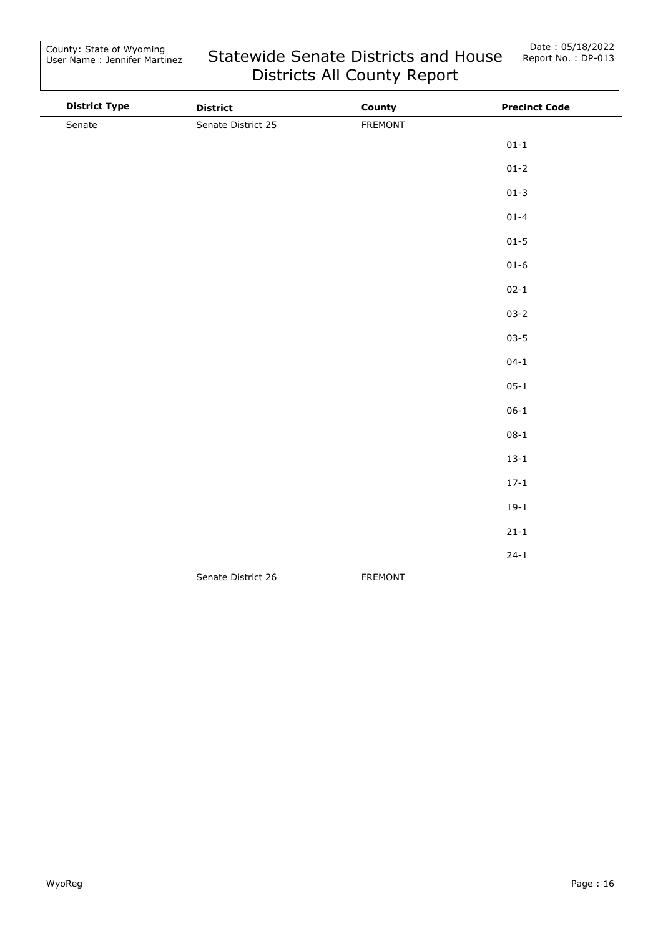| <b>District Type</b> | <b>District</b>    | County         | <b>Precinct Code</b> |
|----------------------|--------------------|----------------|----------------------|
| Senate               | Senate District 25 | <b>FREMONT</b> |                      |
|                      |                    |                | $01 - 1$             |
|                      |                    |                | $01 - 2$             |
|                      |                    |                | $01 - 3$             |
|                      |                    |                | $01 - 4$             |
|                      |                    |                | $01 - 5$             |
|                      |                    |                | $01 - 6$             |
|                      |                    |                | $02 - 1$             |
|                      |                    |                | $03 - 2$             |
|                      |                    |                | $03 - 5$             |
|                      |                    |                | $04 - 1$             |
|                      |                    |                | $05 - 1$             |
|                      |                    |                | $06 - 1$             |
|                      |                    |                | $08 - 1$             |
|                      |                    |                | $13 - 1$             |
|                      |                    |                | $17 - 1$             |
|                      |                    |                | $19-1$               |
|                      |                    |                | $21 - 1$             |
|                      |                    |                | $24 - 1$             |
|                      | Senate District 26 | <b>FREMONT</b> |                      |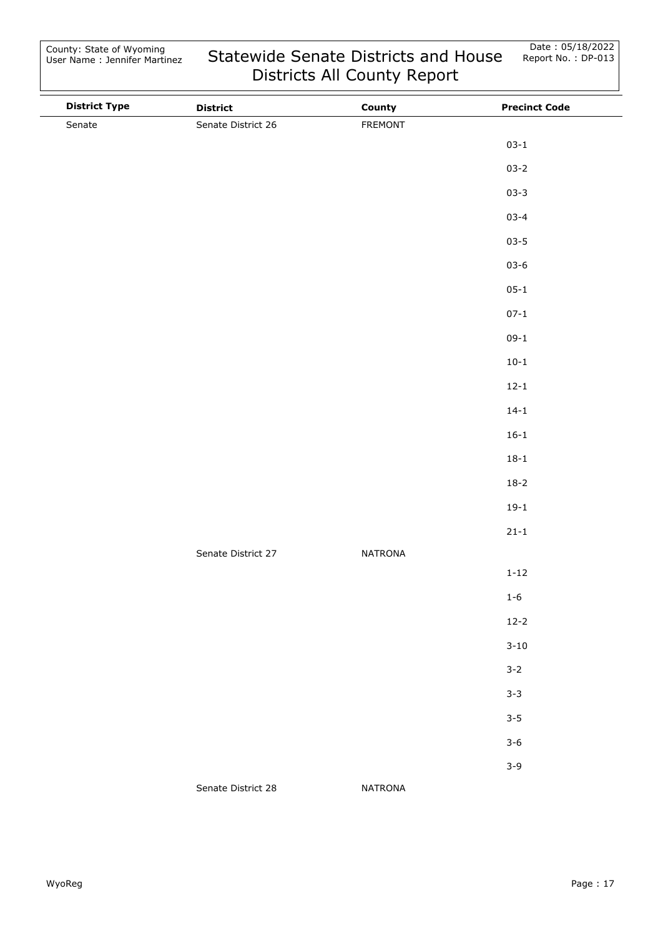| <b>District Type</b> | <b>District</b>    | County         | <b>Precinct Code</b> |
|----------------------|--------------------|----------------|----------------------|
| Senate               | Senate District 26 | FREMONT        |                      |
|                      |                    |                | $03 - 1$             |
|                      |                    |                | $03 - 2$             |
|                      |                    |                | $03 - 3$             |
|                      |                    |                | $03 - 4$             |
|                      |                    |                | $03 - 5$             |
|                      |                    |                | $03 - 6$             |
|                      |                    |                | $05 - 1$             |
|                      |                    |                | $07 - 1$             |
|                      |                    |                | $09-1$               |
|                      |                    |                | $10-1$               |
|                      |                    |                | $12 - 1$             |
|                      |                    |                | $14 - 1$             |
|                      |                    |                | $16 - 1$             |
|                      |                    |                | $18 - 1$             |
|                      |                    |                | $18-2$               |
|                      |                    |                | $19-1$               |
|                      |                    |                | $21 - 1$             |
|                      | Senate District 27 | <b>NATRONA</b> |                      |
|                      |                    |                | $1 - 12$             |
|                      |                    |                | $1 - 6$              |
|                      |                    |                | $12 - 2$             |
|                      |                    |                | $3 - 10$             |
|                      |                    |                | $3 - 2$              |
|                      |                    |                | $3 - 3$              |
|                      |                    |                | $3 - 5$              |
|                      |                    |                | $3 - 6$              |
|                      |                    |                | $3 - 9$              |
|                      | Senate District 28 | <b>NATRONA</b> |                      |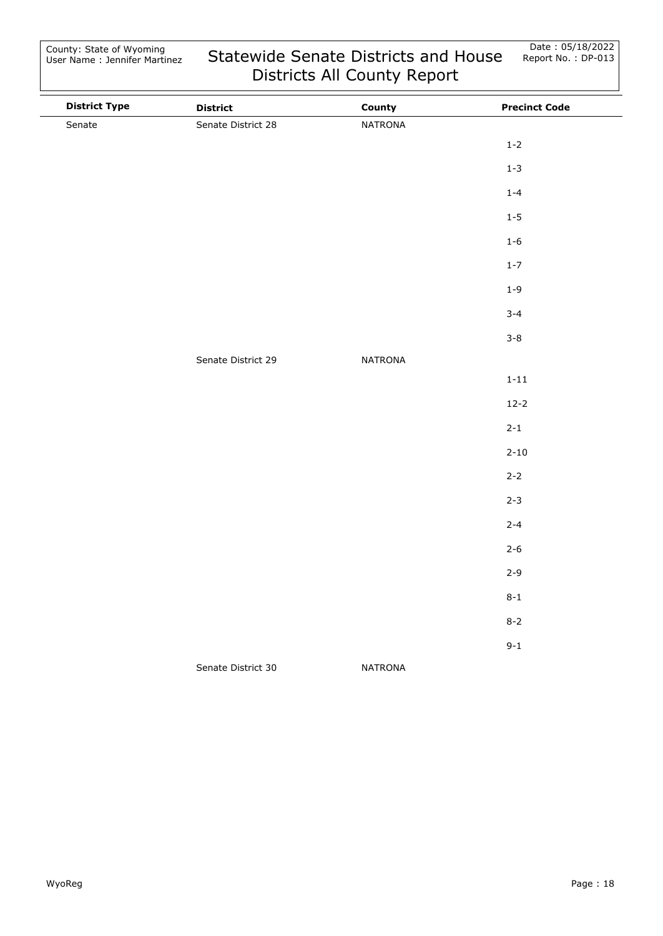| <b>District Type</b> | <b>District</b>    | County         | <b>Precinct Code</b> |
|----------------------|--------------------|----------------|----------------------|
| Senate               | Senate District 28 | NATRONA        |                      |
|                      |                    |                | $1 - 2$              |
|                      |                    |                | $1 - 3$              |
|                      |                    |                | $1 - 4$              |
|                      |                    |                | $1 - 5$              |
|                      |                    |                | $1 - 6$              |
|                      |                    |                | $1 - 7$              |
|                      |                    |                | $1 - 9$              |
|                      |                    |                | $3 - 4$              |
|                      |                    |                | $3 - 8$              |
|                      | Senate District 29 | <b>NATRONA</b> |                      |
|                      |                    |                | $1 - 11$             |
|                      |                    |                | $12 - 2$             |
|                      |                    |                | $2 - 1$              |
|                      |                    |                | $2 - 10$             |
|                      |                    |                | $2 - 2$              |
|                      |                    |                | $2 - 3$              |
|                      |                    |                | $2 - 4$              |
|                      |                    |                | $2 - 6$              |
|                      |                    |                | $2 - 9$              |
|                      |                    |                | $8 - 1$              |
|                      |                    |                | $8 - 2$              |
|                      |                    |                | $9 - 1$              |
|                      | Senate District 30 | <b>NATRONA</b> |                      |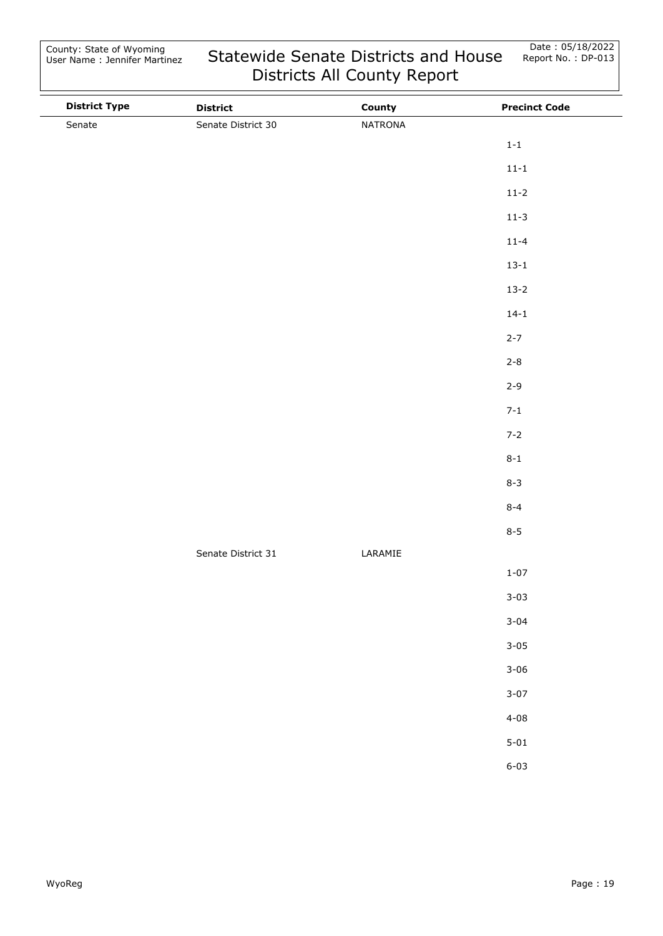| <b>District Type</b> | <b>District</b>    | County  | <b>Precinct Code</b> |
|----------------------|--------------------|---------|----------------------|
| Senate               | Senate District 30 | NATRONA |                      |
|                      |                    |         | $1-1$                |
|                      |                    |         | $11 - 1$             |
|                      |                    |         | $11-2$               |
|                      |                    |         | $11-3$               |
|                      |                    |         | $11 - 4$             |
|                      |                    |         | $13 - 1$             |
|                      |                    |         | $13 - 2$             |
|                      |                    |         | $14 - 1$             |
|                      |                    |         | $2 - 7$              |
|                      |                    |         | $2 - 8$              |
|                      |                    |         | $2 - 9$              |
|                      |                    |         | $7 - 1$              |
|                      |                    |         | $7 - 2$              |
|                      |                    |         | $8 - 1$              |
|                      |                    |         | $8 - 3$              |
|                      |                    |         | $8 - 4$              |
|                      |                    |         | $8 - 5$              |
|                      | Senate District 31 | LARAMIE |                      |
|                      |                    |         | $1 - 07$             |
|                      |                    |         | $3 - 03$             |
|                      |                    |         | $3 - 04$             |
|                      |                    |         | $3 - 05$             |
|                      |                    |         | $3 - 06$             |
|                      |                    |         | $3 - 07$             |
|                      |                    |         | $4 - 08$             |
|                      |                    |         | $5 - 01$             |
|                      |                    |         | $6 - 03$             |
|                      |                    |         |                      |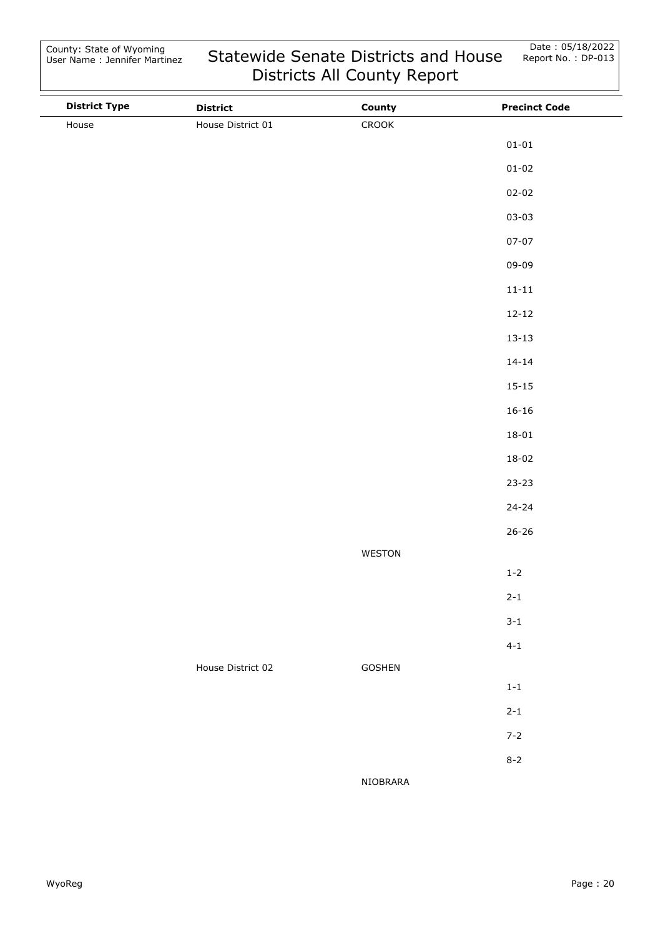| <b>District Type</b> | <b>District</b>   | County   | <b>Precinct Code</b> |
|----------------------|-------------------|----------|----------------------|
| House                | House District 01 | CROOK    |                      |
|                      |                   |          | $01 - 01$            |
|                      |                   |          | $01 - 02$            |
|                      |                   |          | $02 - 02$            |
|                      |                   |          | $03 - 03$            |
|                      |                   |          | $07 - 07$            |
|                      |                   |          | 09-09                |
|                      |                   |          | $11 - 11$            |
|                      |                   |          | $12 - 12$            |
|                      |                   |          | $13 - 13$            |
|                      |                   |          | $14 - 14$            |
|                      |                   |          | $15 - 15$            |
|                      |                   |          | $16 - 16$            |
|                      |                   |          | $18 - 01$            |
|                      |                   |          | $18 - 02$            |
|                      |                   |          | $23 - 23$            |
|                      |                   |          | $24 - 24$            |
|                      |                   |          | $26 - 26$            |
|                      |                   | WESTON   |                      |
|                      |                   |          | $1 - 2$              |
|                      |                   |          | $2 - 1$              |
|                      |                   |          | $3 - 1$              |
|                      |                   |          | $4 - 1$              |
|                      | House District 02 | GOSHEN   |                      |
|                      |                   |          | $1\mbox{-}1$         |
|                      |                   |          | $2 - 1$              |
|                      |                   |          | $7 - 2$              |
|                      |                   |          | $8 - 2$              |
|                      |                   | NIOBRARA |                      |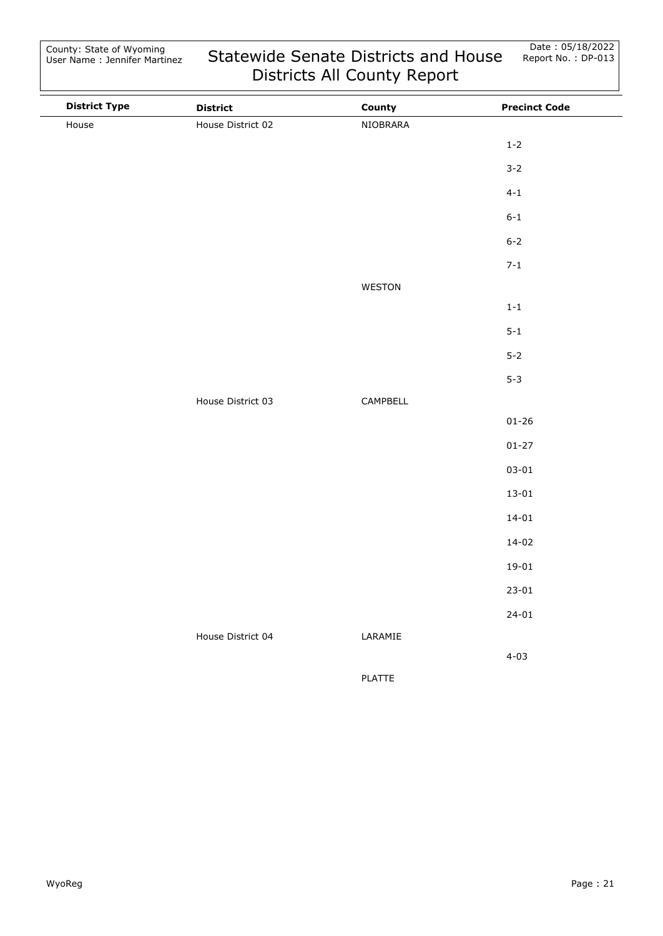| <b>District Type</b> | <b>District</b>   | County        | <b>Precinct Code</b> |
|----------------------|-------------------|---------------|----------------------|
| House                | House District 02 | NIOBRARA      |                      |
|                      |                   |               | $1 - 2$              |
|                      |                   |               | $3 - 2$              |
|                      |                   |               | $4 - 1$              |
|                      |                   |               | $6 - 1$              |
|                      |                   |               | $6 - 2$              |
|                      |                   |               | $7 - 1$              |
|                      |                   | WESTON        |                      |
|                      |                   |               | $1\mbox{-}1$         |
|                      |                   |               | $5 - 1$              |
|                      |                   |               | $5 - 2$              |
|                      |                   |               | $5 - 3$              |
|                      | House District 03 | CAMPBELL      |                      |
|                      |                   |               | $01 - 26$            |
|                      |                   |               | $01 - 27$            |
|                      |                   |               | $03 - 01$            |
|                      |                   |               | $13 - 01$            |
|                      |                   |               | $14 - 01$            |
|                      |                   |               | $14 - 02$            |
|                      |                   |               | $19 - 01$            |
|                      |                   |               | $23 - 01$            |
|                      |                   |               | $24 - 01$            |
|                      | House District 04 | LARAMIE       |                      |
|                      |                   |               | $4 - 03$             |
|                      |                   | <b>PLATTE</b> |                      |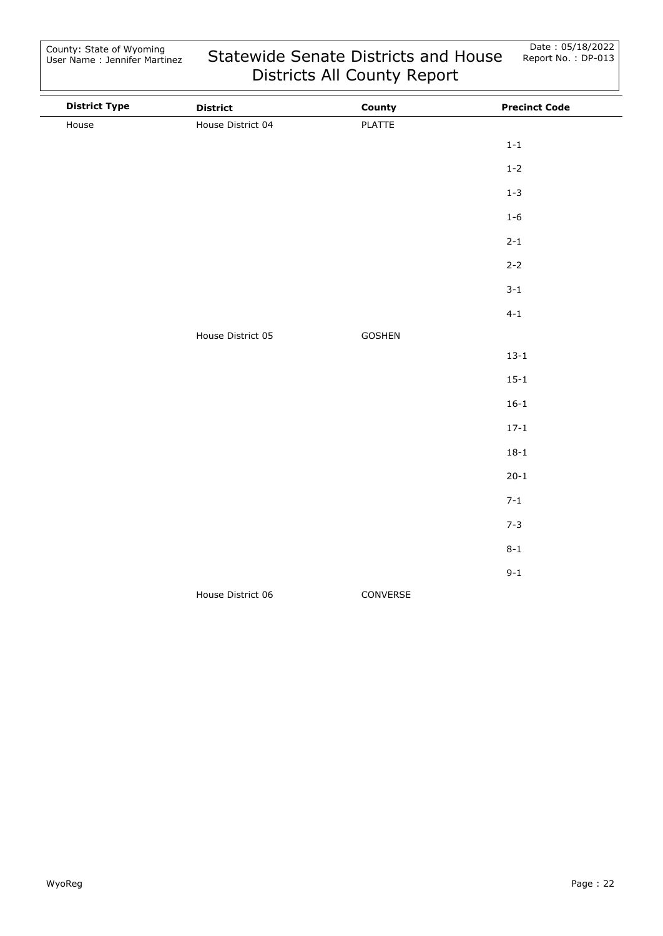| <b>District Type</b> | <b>District</b>   | County   | <b>Precinct Code</b> |
|----------------------|-------------------|----------|----------------------|
| House                | House District 04 | PLATTE   |                      |
|                      |                   |          | $1 - 1$              |
|                      |                   |          | $1 - 2$              |
|                      |                   |          | $1 - 3$              |
|                      |                   |          | $1 - 6$              |
|                      |                   |          | $2 - 1$              |
|                      |                   |          | $2 - 2$              |
|                      |                   |          | $3 - 1$              |
|                      |                   |          | $4 - 1$              |
|                      | House District 05 | GOSHEN   |                      |
|                      |                   |          | $13 - 1$             |
|                      |                   |          | $15 - 1$             |
|                      |                   |          | $16 - 1$             |
|                      |                   |          | $17 - 1$             |
|                      |                   |          | $18 - 1$             |
|                      |                   |          | $20 - 1$             |
|                      |                   |          | $7 - 1$              |
|                      |                   |          | $7 - 3$              |
|                      |                   |          | $8 - 1$              |
|                      |                   |          | $9 - 1$              |
|                      | House District 06 | CONVERSE |                      |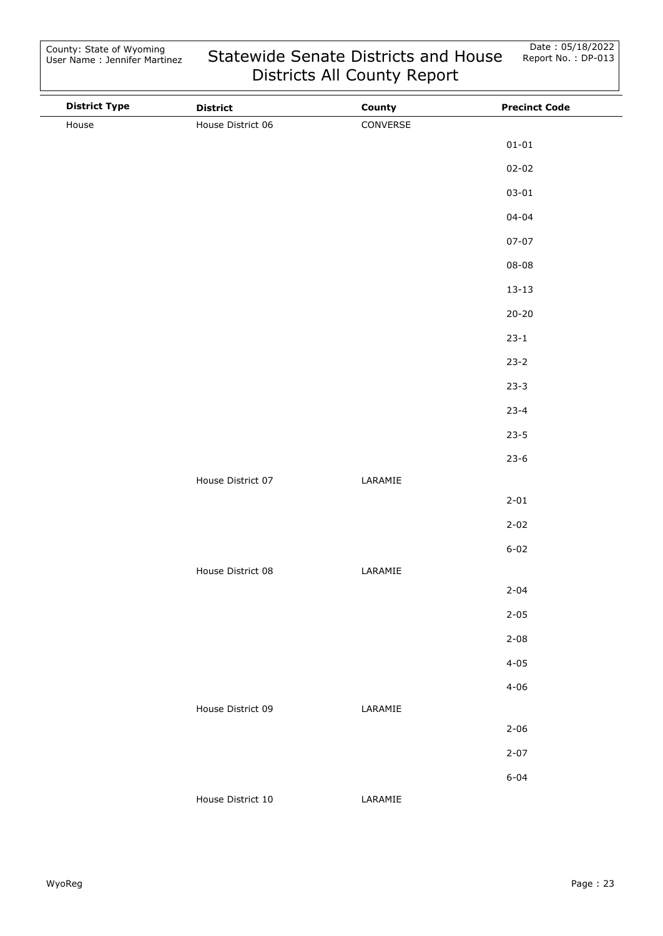| <b>District Type</b> | <b>District</b>   | County   | <b>Precinct Code</b> |
|----------------------|-------------------|----------|----------------------|
| House                | House District 06 | CONVERSE |                      |
|                      |                   |          | $01 - 01$            |
|                      |                   |          | $02 - 02$            |
|                      |                   |          | $03 - 01$            |
|                      |                   |          | $04 - 04$            |
|                      |                   |          | $07 - 07$            |
|                      |                   |          | $08 - 08$            |
|                      |                   |          | $13 - 13$            |
|                      |                   |          | $20 - 20$            |
|                      |                   |          | $23 - 1$             |
|                      |                   |          | $23 - 2$             |
|                      |                   |          | $23-3$               |
|                      |                   |          | $23 - 4$             |
|                      |                   |          | $23 - 5$             |
|                      |                   |          | $23-6$               |
|                      | House District 07 | LARAMIE  |                      |
|                      |                   |          | $2 - 01$             |
|                      |                   |          | $2 - 02$             |
|                      |                   |          | $6 - 02$             |
|                      | House District 08 | LARAMIE  |                      |
|                      |                   |          | $2 - 04$             |
|                      |                   |          | $2 - 05$             |
|                      |                   |          | $2 - 08$             |
|                      |                   |          | $4 - 05$             |
|                      |                   |          | $4 - 06$             |
|                      | House District 09 | LARAMIE  |                      |
|                      |                   |          | $2 - 06$             |
|                      |                   |          | $2 - 07$             |
|                      |                   |          | $6 - 04$             |
|                      | House District 10 | LARAMIE  |                      |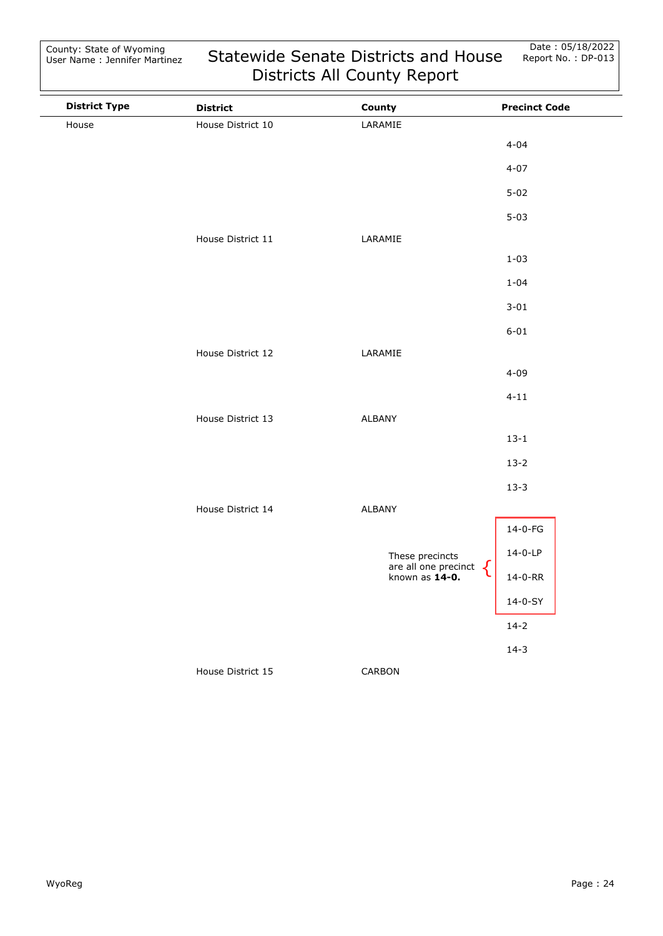| <b>District Type</b> | <b>District</b>   | County                                                           | <b>Precinct Code</b> |
|----------------------|-------------------|------------------------------------------------------------------|----------------------|
| House                | House District 10 | LARAMIE                                                          |                      |
|                      |                   |                                                                  | $4 - 04$             |
|                      |                   |                                                                  | $4 - 07$             |
|                      |                   |                                                                  | $5 - 02$             |
|                      |                   |                                                                  | $5 - 03$             |
|                      | House District 11 | LARAMIE                                                          |                      |
|                      |                   |                                                                  | $1 - 03$             |
|                      |                   |                                                                  | $1 - 04$             |
|                      |                   |                                                                  | $3 - 01$             |
|                      |                   |                                                                  | $6 - 01$             |
|                      | House District 12 | LARAMIE                                                          |                      |
|                      |                   |                                                                  | $4 - 09$             |
|                      |                   |                                                                  | $4 - 11$             |
|                      | House District 13 | ALBANY                                                           |                      |
|                      |                   |                                                                  | $13 - 1$             |
|                      |                   |                                                                  | $13-2$               |
|                      |                   |                                                                  | $13 - 3$             |
|                      | House District 14 | ALBANY                                                           |                      |
|                      |                   |                                                                  | 14-0-FG              |
|                      |                   | These precincts<br>are all one precinct<br>known as <b>14-0.</b> | $14-0-LP$            |
|                      |                   |                                                                  | 14-0-RR              |
|                      |                   |                                                                  | $14-0-SY$            |
|                      |                   |                                                                  | $14-2$               |
|                      |                   |                                                                  | $14-3$               |
|                      | House District 15 | CARBON                                                           |                      |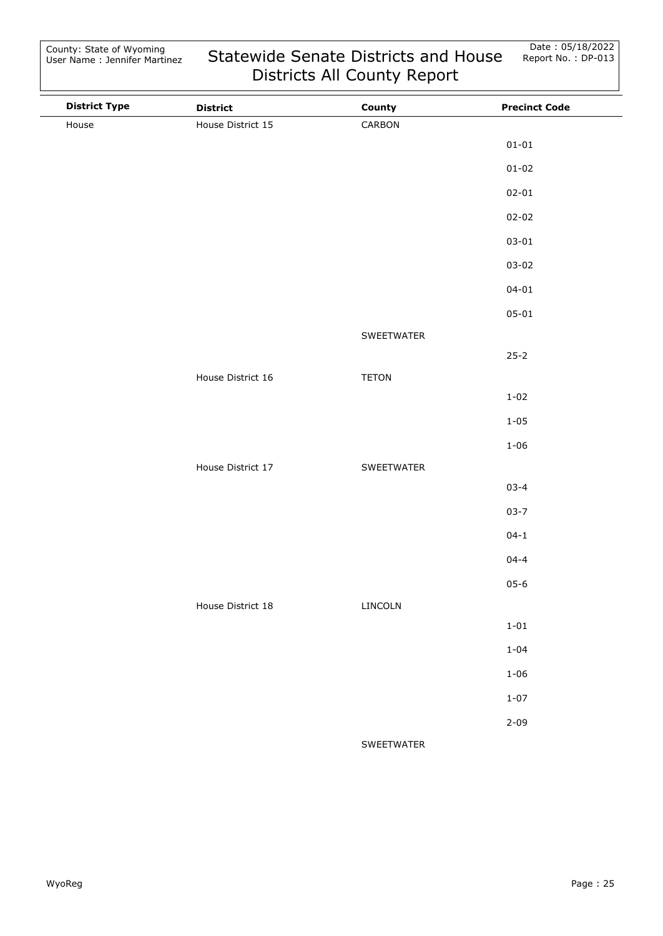| <b>District Type</b> | <b>District</b>   | County       | <b>Precinct Code</b> |
|----------------------|-------------------|--------------|----------------------|
| House                | House District 15 | CARBON       |                      |
|                      |                   |              | $01 - 01$            |
|                      |                   |              | $01 - 02$            |
|                      |                   |              | $02 - 01$            |
|                      |                   |              | $02 - 02$            |
|                      |                   |              | $03 - 01$            |
|                      |                   |              | $03 - 02$            |
|                      |                   |              | $04 - 01$            |
|                      |                   |              | $05 - 01$            |
|                      |                   | SWEETWATER   |                      |
|                      |                   |              | $25 - 2$             |
|                      | House District 16 | <b>TETON</b> |                      |
|                      |                   |              | $1 - 02$             |
|                      |                   |              | $1 - 05$             |
|                      |                   |              | $1 - 06$             |
|                      | House District 17 | SWEETWATER   |                      |
|                      |                   |              | $03 - 4$             |
|                      |                   |              | $03 - 7$             |
|                      |                   |              | $04 - 1$             |
|                      |                   |              | $04 - 4$             |
|                      |                   |              | $05 - 6$             |
|                      | House District 18 | LINCOLN      |                      |
|                      |                   |              | $1 - 01$             |
|                      |                   |              | $1 - 04$             |
|                      |                   |              | $1 - 06$             |
|                      |                   |              | $1 - 07$             |
|                      |                   |              | $2 - 09$             |
|                      |                   | SWEETWATER   |                      |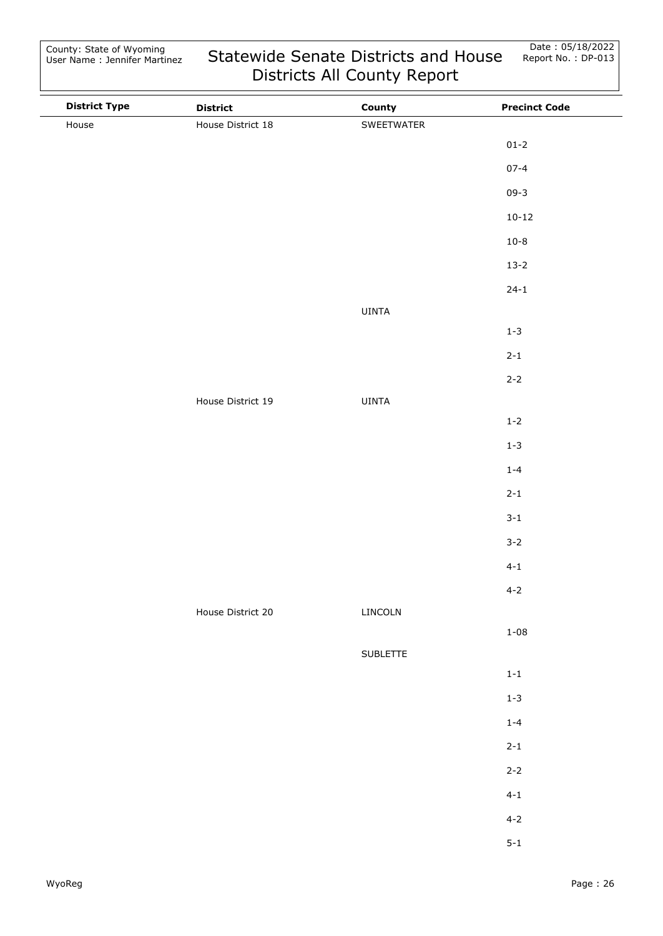| <b>District Type</b> | <b>District</b>   | County       | <b>Precinct Code</b> |
|----------------------|-------------------|--------------|----------------------|
| House                | House District 18 | SWEETWATER   |                      |
|                      |                   |              | $01 - 2$             |
|                      |                   |              | $07 - 4$             |
|                      |                   |              | $09 - 3$             |
|                      |                   |              | $10 - 12$            |
|                      |                   |              | $10 - 8$             |
|                      |                   |              | $13 - 2$             |
|                      |                   |              | $24 - 1$             |
|                      |                   | UINTA        |                      |
|                      |                   |              | $1 - 3$              |
|                      |                   |              | $2 - 1$              |
|                      |                   |              | $2 - 2$              |
|                      | House District 19 | <b>UINTA</b> |                      |
|                      |                   |              | $1 - 2$              |
|                      |                   |              | $1 - 3$              |
|                      |                   |              | $1 - 4$              |
|                      |                   |              | $2 - 1$              |
|                      |                   |              | $3 - 1$              |
|                      |                   |              | $3 - 2$              |
|                      |                   |              | $4 - 1$              |
|                      |                   |              | $4 - 2$              |
|                      | House District 20 | LINCOLN      |                      |
|                      |                   |              | $1 - 08$             |
|                      |                   | SUBLETTE     |                      |
|                      |                   |              | $1\mbox{-}1$         |
|                      |                   |              | $1 - 3$              |
|                      |                   |              | $1 - 4$              |
|                      |                   |              | $2 - 1$              |
|                      |                   |              | $2 - 2$              |
|                      |                   |              | $4 - 1$              |
|                      |                   |              | $4 - 2$              |
|                      |                   |              | $5 - 1$              |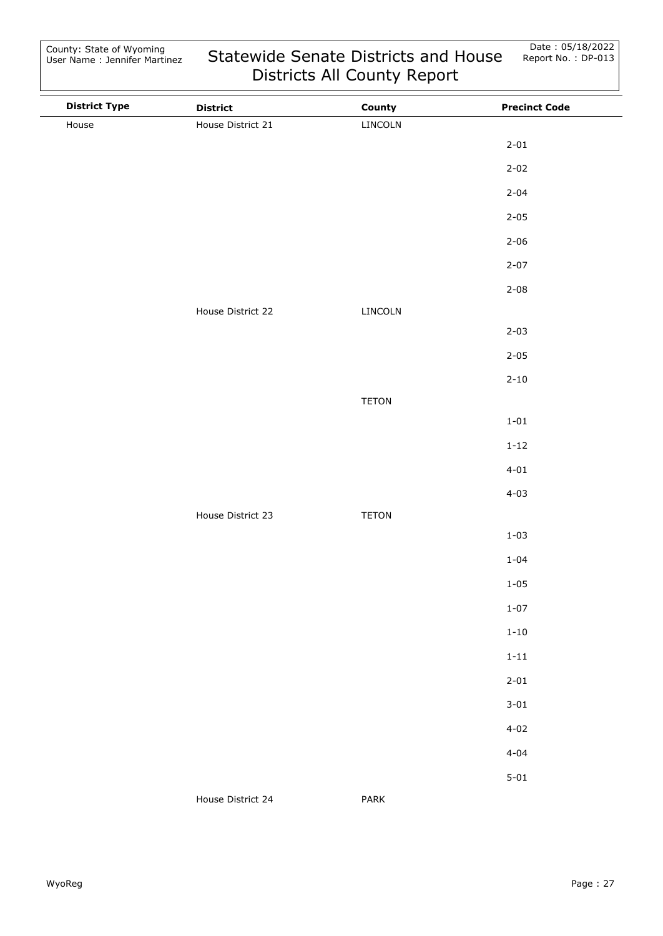| <b>District Type</b> | <b>District</b>   | County       | <b>Precinct Code</b> |
|----------------------|-------------------|--------------|----------------------|
| House                | House District 21 | LINCOLN      |                      |
|                      |                   |              | $2 - 01$             |
|                      |                   |              | $2 - 02$             |
|                      |                   |              | $2 - 04$             |
|                      |                   |              | $2 - 05$             |
|                      |                   |              | $2 - 06$             |
|                      |                   |              | $2 - 07$             |
|                      |                   |              | $2 - 08$             |
|                      | House District 22 | LINCOLN      |                      |
|                      |                   |              | $2 - 03$             |
|                      |                   |              | $2 - 05$             |
|                      |                   |              | $2 - 10$             |
|                      |                   | TETON        |                      |
|                      |                   |              | $1 - 01$             |
|                      |                   |              | $1 - 12$             |
|                      |                   |              | $4 - 01$             |
|                      |                   |              | $4 - 03$             |
|                      | House District 23 | <b>TETON</b> |                      |
|                      |                   |              | $1 - 03$             |
|                      |                   |              | $1 - 04$             |
|                      |                   |              | $1 - 05$             |
|                      |                   |              | $1 - 07$             |
|                      |                   |              | $1 - 10$             |
|                      |                   |              | $1 - 11$             |
|                      |                   |              | $2 - 01$             |
|                      |                   |              | $3 - 01$             |
|                      |                   |              | $4 - 02$             |
|                      |                   |              | $4 - 04$             |
|                      |                   |              | $5 - 01$             |
|                      | House District 24 | PARK         |                      |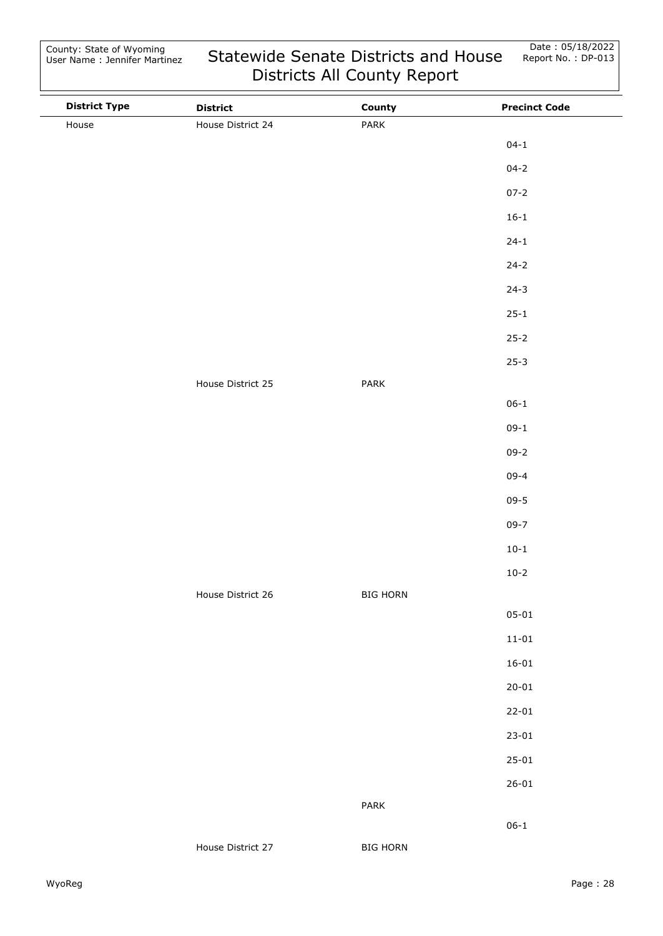| <b>District Type</b> | <b>District</b>   | County          | <b>Precinct Code</b> |
|----------------------|-------------------|-----------------|----------------------|
| House                | House District 24 | PARK            |                      |
|                      |                   |                 | $04 - 1$             |
|                      |                   |                 | $04 - 2$             |
|                      |                   |                 | $07 - 2$             |
|                      |                   |                 | $16 - 1$             |
|                      |                   |                 | $24 - 1$             |
|                      |                   |                 | $24 - 2$             |
|                      |                   |                 | $24-3$               |
|                      |                   |                 | $25 - 1$             |
|                      |                   |                 | $25 - 2$             |
|                      |                   |                 | $25 - 3$             |
|                      | House District 25 | PARK            |                      |
|                      |                   |                 | $06 - 1$             |
|                      |                   |                 | $09-1$               |
|                      |                   |                 | $09 - 2$             |
|                      |                   |                 | $09 - 4$             |
|                      |                   |                 | $09 - 5$             |
|                      |                   |                 | $09 - 7$             |
|                      |                   |                 | $10-1$               |
|                      |                   |                 | $10 - 2$             |
|                      | House District 26 | <b>BIG HORN</b> |                      |
|                      |                   |                 | $05 - 01$            |
|                      |                   |                 | $11 - 01$            |
|                      |                   |                 | $16 - 01$            |
|                      |                   |                 | $20 - 01$            |
|                      |                   |                 | $22 - 01$            |
|                      |                   |                 | $23 - 01$            |
|                      |                   |                 | $25 - 01$            |
|                      |                   |                 | $26 - 01$            |
|                      |                   | PARK            |                      |
|                      |                   |                 | $06 - 1$             |
|                      | House District 27 | <b>BIG HORN</b> |                      |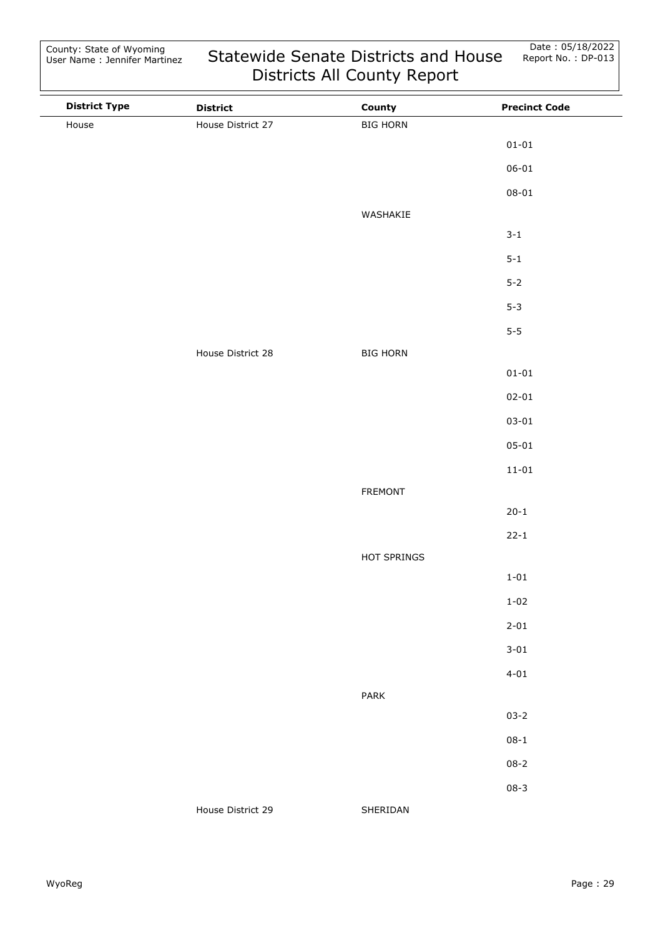| <b>District Type</b> | <b>District</b>   | County          | <b>Precinct Code</b> |
|----------------------|-------------------|-----------------|----------------------|
| House                | House District 27 | <b>BIG HORN</b> |                      |
|                      |                   |                 | $01 - 01$            |
|                      |                   |                 | $06 - 01$            |
|                      |                   |                 | $08 - 01$            |
|                      |                   | WASHAKIE        |                      |
|                      |                   |                 | $3 - 1$              |
|                      |                   |                 | $5 - 1$              |
|                      |                   |                 | $5-2$                |
|                      |                   |                 | $5 - 3$              |
|                      |                   |                 | $5-5$                |
|                      | House District 28 | <b>BIG HORN</b> |                      |
|                      |                   |                 | $01 - 01$            |
|                      |                   |                 | $02 - 01$            |
|                      |                   |                 | $03 - 01$            |
|                      |                   |                 | $05 - 01$            |
|                      |                   |                 | $11 - 01$            |
|                      |                   | <b>FREMONT</b>  |                      |
|                      |                   |                 | $20 - 1$             |
|                      |                   |                 | $22 - 1$             |
|                      |                   | HOT SPRINGS     |                      |
|                      |                   |                 | $1 - 01$             |
|                      |                   |                 | $1 - 02$             |
|                      |                   |                 | $2 - 01$             |
|                      |                   |                 | $3 - 01$             |
|                      |                   |                 | $4 - 01$             |
|                      |                   | PARK            |                      |
|                      |                   |                 | $03 - 2$             |
|                      |                   |                 | $08 - 1$             |
|                      |                   |                 | $08 - 2$             |
|                      |                   |                 | $08 - 3$             |
|                      | House District 29 | SHERIDAN        |                      |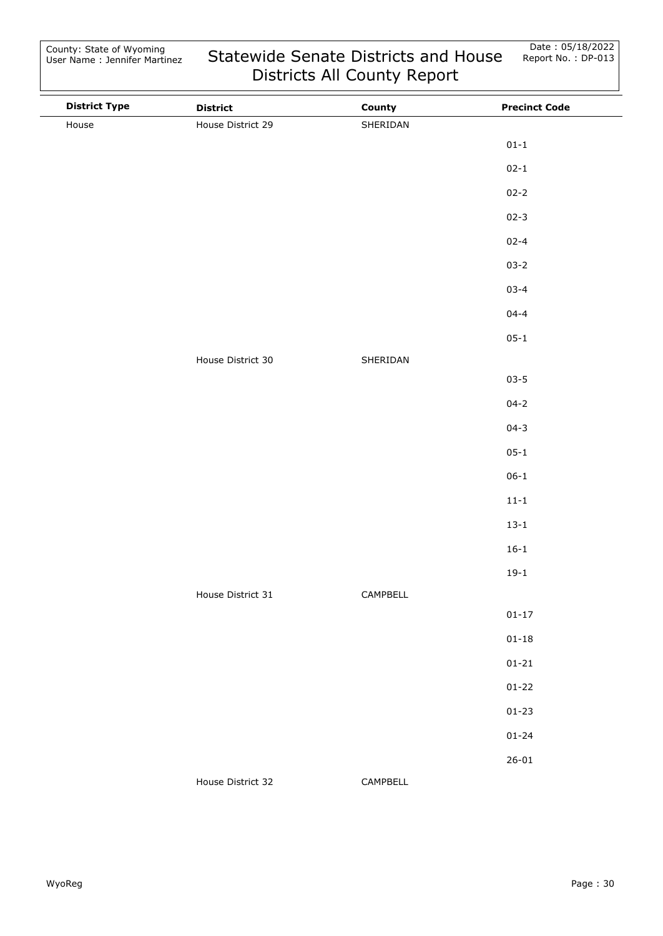| <b>District Type</b> | <b>District</b>   | County   | <b>Precinct Code</b> |
|----------------------|-------------------|----------|----------------------|
| House                | House District 29 | SHERIDAN |                      |
|                      |                   |          | $01 - 1$             |
|                      |                   |          | $02 - 1$             |
|                      |                   |          | $02 - 2$             |
|                      |                   |          | $02 - 3$             |
|                      |                   |          | $02 - 4$             |
|                      |                   |          | $03 - 2$             |
|                      |                   |          | $03 - 4$             |
|                      |                   |          | $04 - 4$             |
|                      |                   |          | $05 - 1$             |
|                      | House District 30 | SHERIDAN |                      |
|                      |                   |          | $03 - 5$             |
|                      |                   |          | $04 - 2$             |
|                      |                   |          | $04 - 3$             |
|                      |                   |          | $05 - 1$             |
|                      |                   |          | $06 - 1$             |
|                      |                   |          | $11 - 1$             |
|                      |                   |          | $13 - 1$             |
|                      |                   |          | $16 - 1$             |
|                      |                   |          | $19-1$               |
|                      | House District 31 | CAMPBELL |                      |
|                      |                   |          | $01 - 17$            |
|                      |                   |          | $01 - 18$            |
|                      |                   |          | $01 - 21$            |
|                      |                   |          | $01 - 22$            |
|                      |                   |          | $01 - 23$            |
|                      |                   |          | $01 - 24$            |
|                      |                   |          | $26 - 01$            |
|                      | House District 32 | CAMPBELL |                      |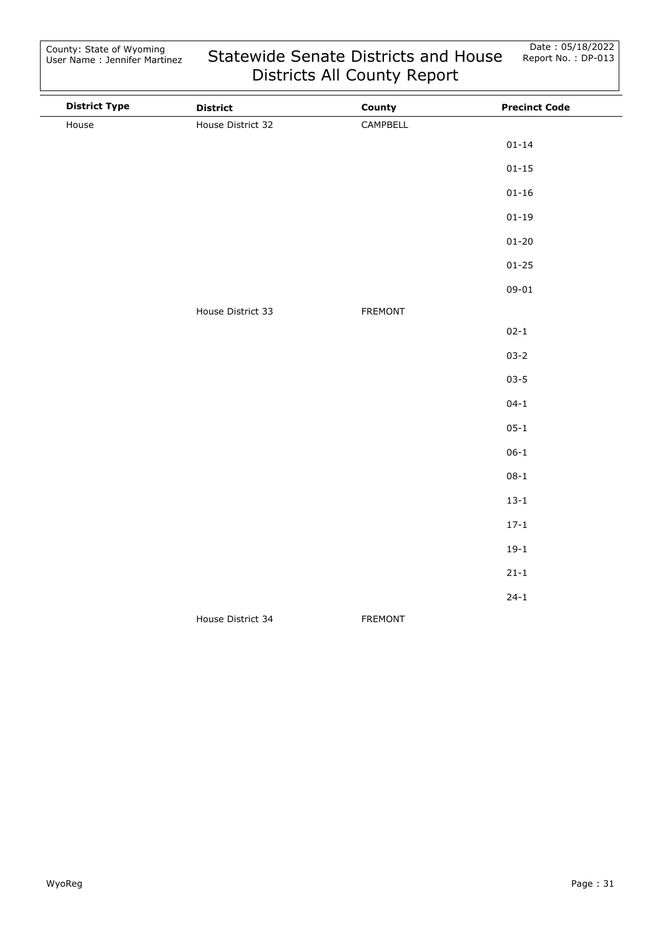| <b>District Type</b> | <b>District</b>   | County         | <b>Precinct Code</b> |
|----------------------|-------------------|----------------|----------------------|
| House                | House District 32 | CAMPBELL       |                      |
|                      |                   |                | $01 - 14$            |
|                      |                   |                | $01 - 15$            |
|                      |                   |                | $01 - 16$            |
|                      |                   |                | $01 - 19$            |
|                      |                   |                | $01 - 20$            |
|                      |                   |                | $01 - 25$            |
|                      |                   |                | $09 - 01$            |
|                      | House District 33 | <b>FREMONT</b> |                      |
|                      |                   |                | $02 - 1$             |
|                      |                   |                | $03 - 2$             |
|                      |                   |                | $03 - 5$             |
|                      |                   |                | $04 - 1$             |
|                      |                   |                | $05 - 1$             |
|                      |                   |                | $06 - 1$             |
|                      |                   |                | $08 - 1$             |
|                      |                   |                | $13 - 1$             |
|                      |                   |                | $17 - 1$             |
|                      |                   |                | $19-1$               |
|                      |                   |                | $21 - 1$             |
|                      |                   |                | $24 - 1$             |
|                      | House District 34 | <b>FREMONT</b> |                      |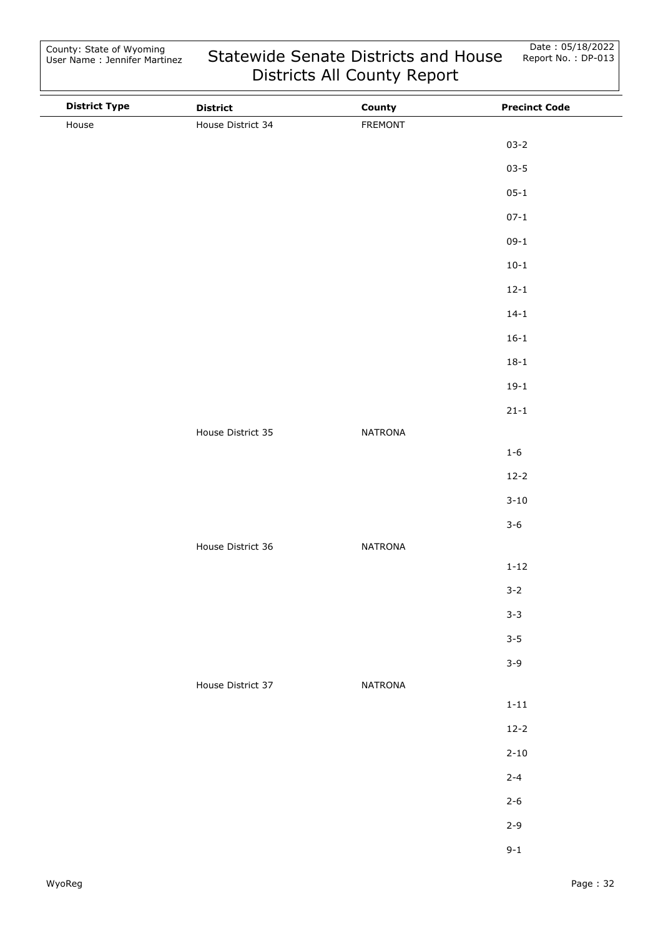County: State of Wyoming User Name : Jennifer Martinez

| <b>District Type</b> | <b>District</b>   | County         | <b>Precinct Code</b> |
|----------------------|-------------------|----------------|----------------------|
| House                | House District 34 | FREMONT        |                      |
|                      |                   |                | $03 - 2$             |
|                      |                   |                | $03 - 5$             |
|                      |                   |                | $05 - 1$             |
|                      |                   |                | $07 - 1$             |
|                      |                   |                | $09-1$               |
|                      |                   |                | $10 - 1$             |
|                      |                   |                | $12 - 1$             |
|                      |                   |                | $14 - 1$             |
|                      |                   |                | $16 - 1$             |
|                      |                   |                | $18 - 1$             |
|                      |                   |                | $19-1$               |
|                      |                   |                | $21 - 1$             |
|                      | House District 35 | NATRONA        |                      |
|                      |                   |                | $1 - 6$              |
|                      |                   |                | $12 - 2$             |
|                      |                   |                | $3 - 10$             |
|                      |                   |                | $3 - 6$              |
|                      | House District 36 | NATRONA        |                      |
|                      |                   |                | $1 - 12$             |
|                      |                   |                | $3 - 2$              |
|                      |                   |                | $3 - 3$              |
|                      |                   |                | $3 - 5$              |
|                      |                   |                | $3 - 9$              |
|                      | House District 37 | <b>NATRONA</b> |                      |
|                      |                   |                | $1 - 11$             |
|                      |                   |                | $12 - 2$             |
|                      |                   |                | $2 - 10$             |
|                      |                   |                | $2 - 4$              |
|                      |                   |                | $2 - 6$              |
|                      |                   |                | $2 - 9$              |
|                      |                   |                | $9 - 1$              |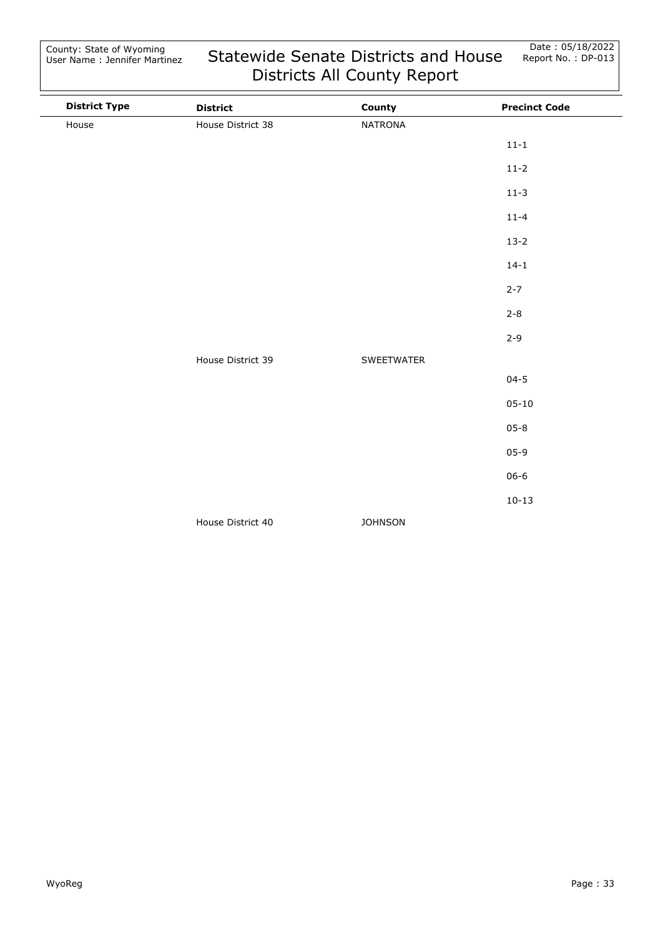| <b>District Type</b> | <b>District</b>   | County         | <b>Precinct Code</b> |
|----------------------|-------------------|----------------|----------------------|
| House                | House District 38 | <b>NATRONA</b> |                      |
|                      |                   |                | $11 - 1$             |
|                      |                   |                | $11-2$               |
|                      |                   |                | $11-3$               |
|                      |                   |                | $11 - 4$             |
|                      |                   |                | $13-2$               |
|                      |                   |                | $14 - 1$             |
|                      |                   |                | $2 - 7$              |
|                      |                   |                | $2 - 8$              |
|                      |                   |                | $2 - 9$              |
|                      | House District 39 | SWEETWATER     |                      |
|                      |                   |                | $04 - 5$             |
|                      |                   |                | $05 - 10$            |
|                      |                   |                | $05 - 8$             |
|                      |                   |                | $05-9$               |
|                      |                   |                | $06 - 6$             |
|                      |                   |                | $10 - 13$            |
|                      | House District 40 | <b>JOHNSON</b> |                      |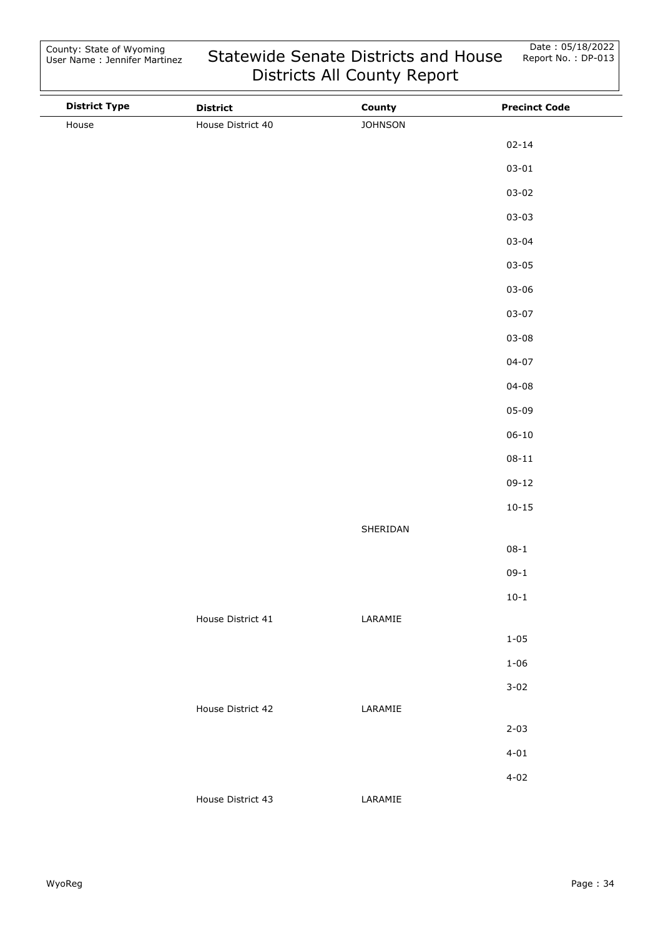| <b>District Type</b> | <b>District</b>   | County         | <b>Precinct Code</b> |
|----------------------|-------------------|----------------|----------------------|
| House                | House District 40 | <b>JOHNSON</b> |                      |
|                      |                   |                | $02 - 14$            |
|                      |                   |                | $03 - 01$            |
|                      |                   |                | $03 - 02$            |
|                      |                   |                | $03 - 03$            |
|                      |                   |                | $03 - 04$            |
|                      |                   |                | $03 - 05$            |
|                      |                   |                | $03 - 06$            |
|                      |                   |                | $03 - 07$            |
|                      |                   |                | $03 - 08$            |
|                      |                   |                | $04 - 07$            |
|                      |                   |                | $04 - 08$            |
|                      |                   |                | $05 - 09$            |
|                      |                   |                | $06 - 10$            |
|                      |                   |                | $08 - 11$            |
|                      |                   |                | $09-12$              |
|                      |                   |                | $10 - 15$            |
|                      |                   | SHERIDAN       |                      |
|                      |                   |                | $08 - 1$             |
|                      |                   |                | $09-1$               |
|                      |                   |                | $10 - 1$             |
|                      | House District 41 | LARAMIE        |                      |
|                      |                   |                | $1 - 05$             |
|                      |                   |                | $1 - 06$             |
|                      |                   |                | $3 - 02$             |
|                      | House District 42 | LARAMIE        |                      |
|                      |                   |                | $2 - 03$             |
|                      |                   |                | $4 - 01$             |
|                      |                   |                | $4 - 02$             |
|                      | House District 43 | LARAMIE        |                      |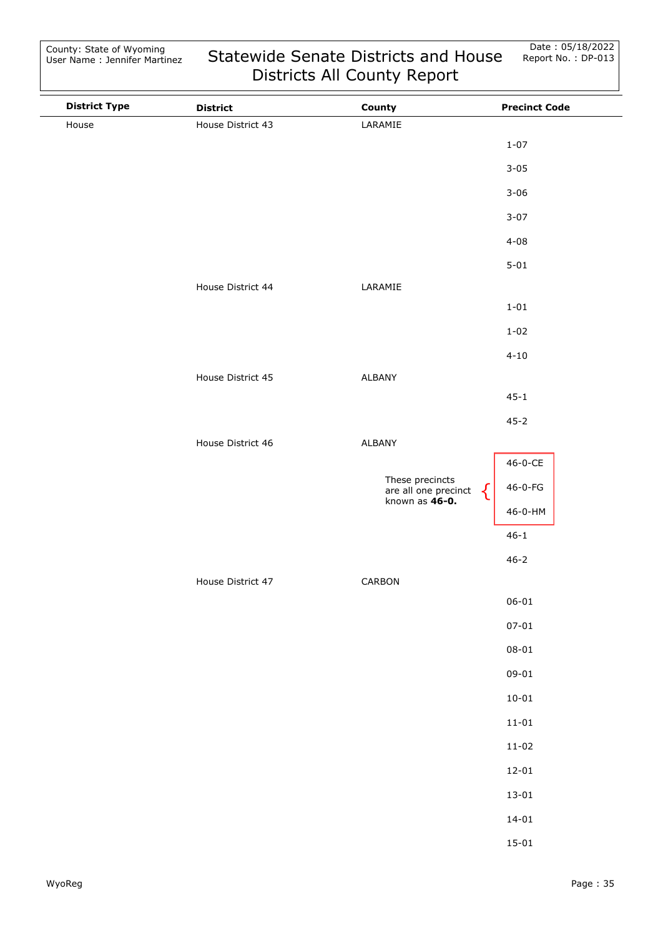| <b>District Type</b> | <b>District</b>   | County                                                           | <b>Precinct Code</b> |
|----------------------|-------------------|------------------------------------------------------------------|----------------------|
| House                | House District 43 | LARAMIE                                                          |                      |
|                      |                   |                                                                  | $1 - 07$             |
|                      |                   |                                                                  | $3 - 05$             |
|                      |                   |                                                                  | $3 - 06$             |
|                      |                   |                                                                  | $3 - 07$             |
|                      |                   |                                                                  | $4 - 08$             |
|                      |                   |                                                                  | $5 - 01$             |
|                      | House District 44 | LARAMIE                                                          |                      |
|                      |                   |                                                                  | $1 - 01$             |
|                      |                   |                                                                  | $1 - 02$             |
|                      |                   |                                                                  | $4 - 10$             |
|                      | House District 45 | ALBANY                                                           |                      |
|                      |                   |                                                                  | $45 - 1$             |
|                      |                   |                                                                  | $45 - 2$             |
|                      | House District 46 | ALBANY                                                           |                      |
|                      |                   |                                                                  | 46-0-CE              |
|                      |                   | These precincts<br>are all one precinct<br>known as <b>46-0.</b> | 46-0-FG              |
|                      |                   |                                                                  | 46-0-HM              |
|                      |                   |                                                                  | $46 - 1$             |
|                      |                   |                                                                  | $46 - 2$             |
|                      | House District 47 | CARBON                                                           |                      |
|                      |                   |                                                                  | $06 - 01$            |
|                      |                   |                                                                  | $07 - 01$            |
|                      |                   |                                                                  | $08 - 01$            |
|                      |                   |                                                                  | $09 - 01$            |
|                      |                   |                                                                  | $10 - 01$            |
|                      |                   |                                                                  | $11 - 01$            |
|                      |                   |                                                                  | $11 - 02$            |
|                      |                   |                                                                  | $12 - 01$            |
|                      |                   |                                                                  | $13 - 01$            |
|                      |                   |                                                                  | $14 - 01$            |
|                      |                   |                                                                  | $15 - 01$            |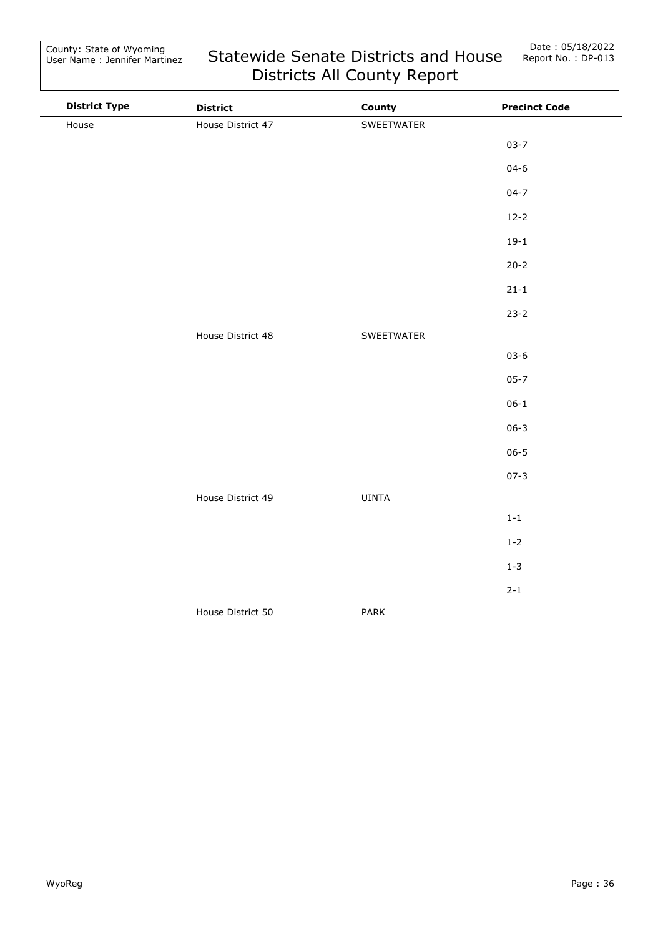| <b>District Type</b> | <b>District</b>   | County       | <b>Precinct Code</b> |
|----------------------|-------------------|--------------|----------------------|
| House                | House District 47 | SWEETWATER   |                      |
|                      |                   |              | $03 - 7$             |
|                      |                   |              | $04 - 6$             |
|                      |                   |              | $04 - 7$             |
|                      |                   |              | $12-2$               |
|                      |                   |              | $19-1$               |
|                      |                   |              | $20 - 2$             |
|                      |                   |              | $21 - 1$             |
|                      |                   |              | $23-2$               |
|                      | House District 48 | SWEETWATER   |                      |
|                      |                   |              | $03 - 6$             |
|                      |                   |              | $05 - 7$             |
|                      |                   |              | $06 - 1$             |
|                      |                   |              | $06 - 3$             |
|                      |                   |              | $06 - 5$             |
|                      |                   |              | $07 - 3$             |
|                      | House District 49 | <b>UINTA</b> |                      |
|                      |                   |              | $1-1$                |
|                      |                   |              | $1 - 2$              |
|                      |                   |              | $1 - 3$              |
|                      |                   |              | $2 - 1$              |
|                      | House District 50 | PARK         |                      |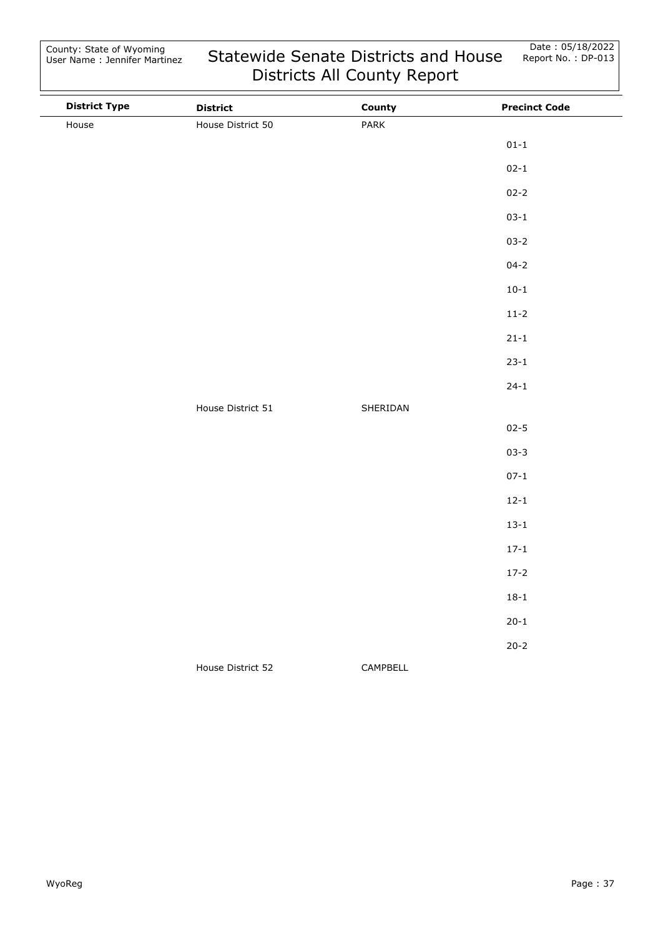| <b>District Type</b> | <b>District</b>   | County   | <b>Precinct Code</b> |
|----------------------|-------------------|----------|----------------------|
| House                | House District 50 | PARK     |                      |
|                      |                   |          | $01 - 1$             |
|                      |                   |          | $02 - 1$             |
|                      |                   |          | $02 - 2$             |
|                      |                   |          | $03-1$               |
|                      |                   |          | $03 - 2$             |
|                      |                   |          | $04 - 2$             |
|                      |                   |          | $10-1$               |
|                      |                   |          | $11-2$               |
|                      |                   |          | $21 - 1$             |
|                      |                   |          | $23-1$               |
|                      |                   |          | $24-1$               |
|                      | House District 51 | SHERIDAN |                      |
|                      |                   |          | $02 - 5$             |
|                      |                   |          | $03 - 3$             |
|                      |                   |          | $07 - 1$             |
|                      |                   |          | $12 - 1$             |
|                      |                   |          | $13 - 1$             |
|                      |                   |          | $17 - 1$             |
|                      |                   |          | $17-2$               |
|                      |                   |          | $18 - 1$             |
|                      |                   |          | $20 - 1$             |
|                      |                   |          | $20 - 2$             |
|                      | House District 52 | CAMPBELL |                      |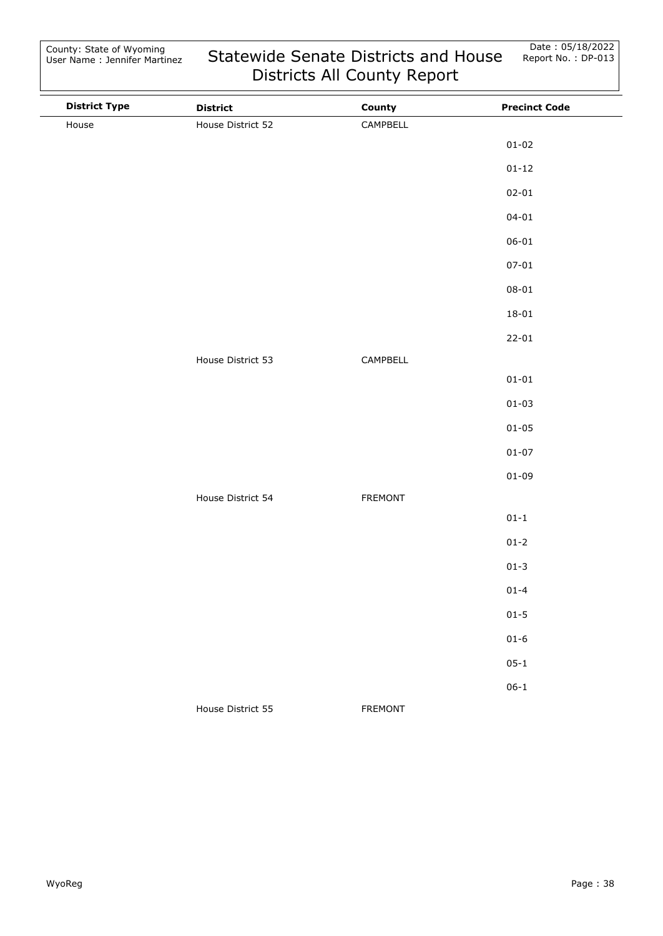| <b>District Type</b> | <b>District</b>   | County         | <b>Precinct Code</b> |
|----------------------|-------------------|----------------|----------------------|
| House                | House District 52 | CAMPBELL       |                      |
|                      |                   |                | $01 - 02$            |
|                      |                   |                | $01 - 12$            |
|                      |                   |                | $02 - 01$            |
|                      |                   |                | $04 - 01$            |
|                      |                   |                | $06 - 01$            |
|                      |                   |                | $07 - 01$            |
|                      |                   |                | $08 - 01$            |
|                      |                   |                | $18 - 01$            |
|                      |                   |                | $22 - 01$            |
|                      | House District 53 | CAMPBELL       |                      |
|                      |                   |                | $01 - 01$            |
|                      |                   |                | $01 - 03$            |
|                      |                   |                | $01 - 05$            |
|                      |                   |                | $01 - 07$            |
|                      |                   |                | $01 - 09$            |
|                      | House District 54 | FREMONT        |                      |
|                      |                   |                | $01 - 1$             |
|                      |                   |                | $01 - 2$             |
|                      |                   |                | $01 - 3$             |
|                      |                   |                | $01 - 4$             |
|                      |                   |                | $01 - 5$             |
|                      |                   |                | $01 - 6$             |
|                      |                   |                | $05 - 1$             |
|                      |                   |                | $06 - 1$             |
|                      | House District 55 | <b>FREMONT</b> |                      |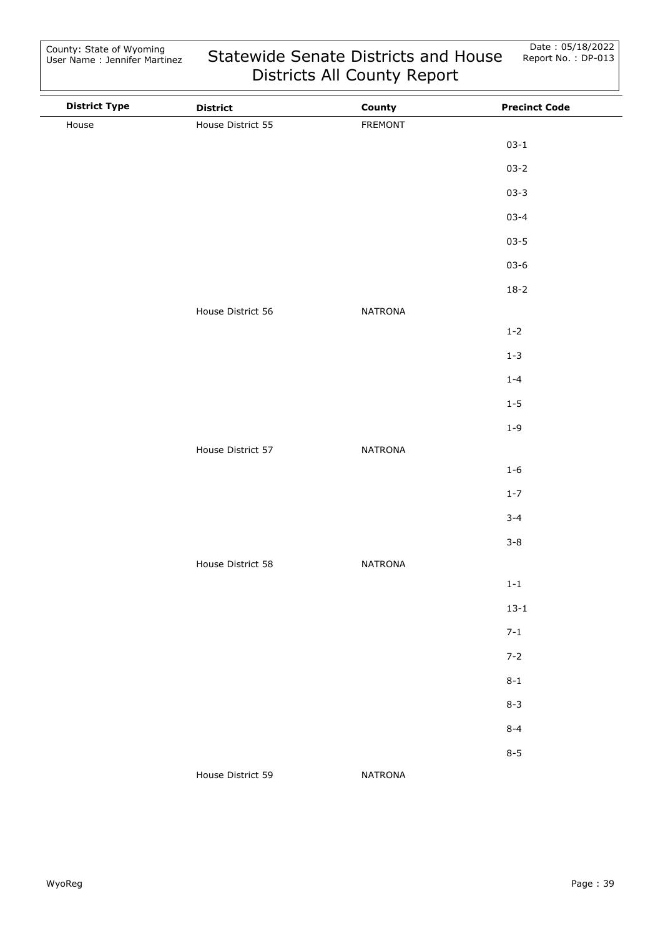$\overline{\phantom{a}}$ 

| <b>District Type</b> | <b>District</b>   | County         | <b>Precinct Code</b> |
|----------------------|-------------------|----------------|----------------------|
| House                | House District 55 | FREMONT        |                      |
|                      |                   |                | $03 - 1$             |
|                      |                   |                | $03 - 2$             |
|                      |                   |                | $03 - 3$             |
|                      |                   |                | $03 - 4$             |
|                      |                   |                | $03 - 5$             |
|                      |                   |                | $03 - 6$             |
|                      |                   |                | $18-2$               |
|                      | House District 56 | <b>NATRONA</b> |                      |
|                      |                   |                | $1 - 2$              |
|                      |                   |                | $1 - 3$              |
|                      |                   |                | $1 - 4$              |
|                      |                   |                | $1 - 5$              |
|                      |                   |                | $1 - 9$              |
|                      | House District 57 | <b>NATRONA</b> |                      |
|                      |                   |                | $1 - 6$              |
|                      |                   |                | $1 - 7$              |
|                      |                   |                | $3 - 4$              |
|                      |                   |                | $3 - 8$              |
|                      | House District 58 | <b>NATRONA</b> |                      |
|                      |                   |                | $1-1$                |
|                      |                   |                | $13 - 1$             |
|                      |                   |                | $7 - 1$              |
|                      |                   |                | $7 - 2$              |
|                      |                   |                | $8 - 1$              |
|                      |                   |                | $8 - 3$              |
|                      |                   |                | $8 - 4$              |
|                      |                   |                | $8 - 5$              |
|                      | House District 59 | <b>NATRONA</b> |                      |